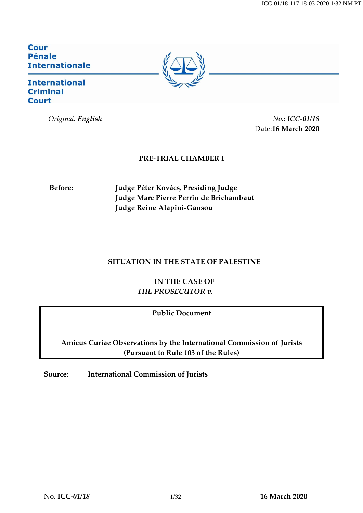**Cour Pénale Internationale** 

### **International Criminal Court**

*Original: English No.: ICC-01/18* Date:**16 March 2020**

### **PRE-TRIAL CHAMBER I**

**Before: Judge Péter Kovács, Presiding Judge Judge Marc Pierre Perrin de Brichambaut Judge Reine Alapini-Gansou** 

### **SITUATION IN THE STATE OF PALESTINE**

**IN THE CASE OF** *THE PROSECUTOR v.*

**Public Document**

**Amicus Curiae Observations by the International Commission of Jurists (Pursuant to Rule 103 of the Rules)**

**Source: International Commission of Jurists**

No. **ICC-***01/18* 1/32 **16 March 2020**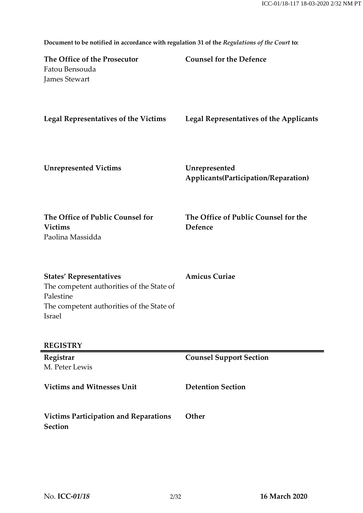| The Office of the Prosecutor<br>Fatou Bensouda<br>James Stewart                                                                                 | <b>Counsel for the Defence</b>                        |
|-------------------------------------------------------------------------------------------------------------------------------------------------|-------------------------------------------------------|
| <b>Legal Representatives of the Victims</b>                                                                                                     | <b>Legal Representatives of the Applicants</b>        |
| <b>Unrepresented Victims</b>                                                                                                                    | Unrepresented<br>Applicants(Participation/Reparation) |
| The Office of Public Counsel for<br><b>Victims</b><br>Paolina Massidda                                                                          | The Office of Public Counsel for the<br>Defence       |
| <b>States' Representatives</b><br>The competent authorities of the State of<br>Palestine<br>The competent authorities of the State of<br>Israel | <b>Amicus Curiae</b>                                  |
| <b>REGISTRY</b>                                                                                                                                 |                                                       |
| Registrar<br>M. Peter Lewis                                                                                                                     | <b>Counsel Support Section</b>                        |
| <b>Victims and Witnesses Unit</b>                                                                                                               | <b>Detention Section</b>                              |
| <b>Victims Participation and Reparations</b><br><b>Section</b>                                                                                  | Other                                                 |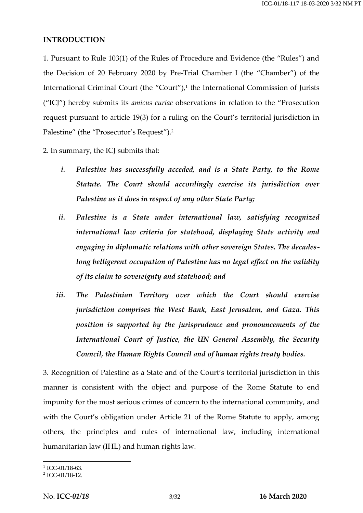#### **INTRODUCTION**

1. Pursuant to Rule 103(1) of the Rules of Procedure and Evidence (the "Rules") and the Decision of 20 February 2020 by Pre-Trial Chamber I (the "Chamber") of the International Criminal Court (the "Court"),<sup>1</sup> the International Commission of Jurists ("ICJ") hereby submits its *amicus curiae* observations in relation to the "Prosecution request pursuant to article 19(3) for a ruling on the Court's territorial jurisdiction in Palestine" (the "Prosecutor's Request").<sup>2</sup>

2. In summary, the ICJ submits that:

- *i. Palestine has successfully acceded, and is a State Party, to the Rome Statute. The Court should accordingly exercise its jurisdiction over Palestine as it does in respect of any other State Party;*
- *ii. Palestine is a State under international law, satisfying recognized international law criteria for statehood, displaying State activity and engaging in diplomatic relations with other sovereign States. The decades*long belligerent occupation of Palestine has no legal effect on the validity *of its claim to sovereignty and statehood; and*
- *iii. The Palestinian Territory over which the Court should exercise jurisdiction comprises the West Bank, East Jerusalem, and Gaza. This position is supported by the jurisprudence and pronouncements of the International Court of Justice, the UN General Assembly, the Security Council, the Human Rights Council and of human rights treaty bodies.*

3. Recognition of Palestine as a State and of the Court's territorial jurisdiction in this manner is consistent with the object and purpose of the Rome Statute to end impunity for the most serious crimes of concern to the international community, and with the Court's obligation under Article 21 of the Rome Statute to apply, among others, the principles and rules of international law, including international humanitarian law (IHL) and human rights law.

 $\frac{1}{1}$  ICC-01/18-63.

<sup>2</sup> ICC-01/18-12.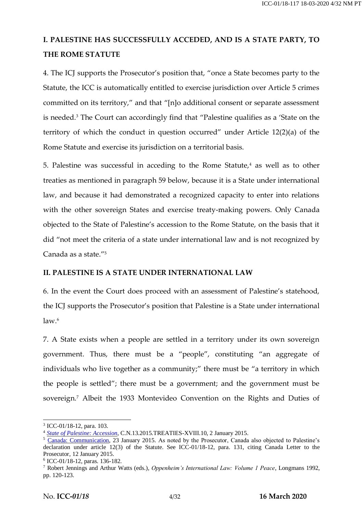# **I. PALESTINE HAS SUCCESSFULLY ACCEDED, AND IS A STATE PARTY, TO THE ROME STATUTE**

4. The ICJ supports the Prosecutor's position that, "once a State becomes party to the Statute, the ICC is automatically entitled to exercise jurisdiction over Article 5 crimes committed on its territory," and that "[n]o additional consent or separate assessment is needed.<sup>3</sup> The Court can accordingly find that "Palestine qualifies as a 'State on the territory of which the conduct in question occurred" under Article 12(2)(a) of the Rome Statute and exercise its jurisdiction on a territorial basis.

5. Palestine was successful in acceding to the Rome Statute, $4$  as well as to other treaties as mentioned in paragraph 59 below, because it is a State under international law, and because it had demonstrated a recognized capacity to enter into relations with the other sovereign States and exercise treaty-making powers. Only Canada objected to the State of Palestine's accession to the Rome Statute, on the basis that it did "not meet the criteria of a state under international law and is not recognized by Canada as a state."<sup>5</sup>

### **II. PALESTINE IS A STATE UNDER INTERNATIONAL LAW**

6. In the event the Court does proceed with an assessment of Palestine's statehood, the ICJ supports the Prosecutor's position that Palestine is a State under international  $law<sup>6</sup>$ 

7. A State exists when a people are settled in a territory under its own sovereign government. Thus, there must be a "people", constituting "an aggregate of individuals who live together as a community;" there must be "a territory in which the people is settled"; there must be a government; and the government must be sovereign.<sup>7</sup> Albeit the 1933 Montevideo Convention on the Rights and Duties of

<sup>3</sup> ICC-01/18-12, para. 103.

<sup>4</sup> *[State of Palestine: Accession](https://treaties.un.org/doc/Publication/CN/2015/CN.13.2015-Eng.pdf)*, C.N.13.2015.TREATIES-XVIII.10, 2 January 2015.

<sup>&</sup>lt;sup>5</sup> [Canada: Communication,](https://treaties.un.org/doc/Publication/CN/2015/CN.57.2015-Eng.pdf) 23 January 2015. As noted by the Prosecutor, Canada also objected to Palestine's declaration under article 12(3) of the Statute. See ICC-01/18-12, para. 131, citing Canada Letter to the Prosecutor, 12 January 2015.

<sup>6</sup> ICC-01/18-12, paras. 136-182.

<sup>7</sup> Robert Jennings and Arthur Watts (eds.), *Oppenheim's International Law: Volume 1 Peace*, Longmans 1992, pp. 120-123.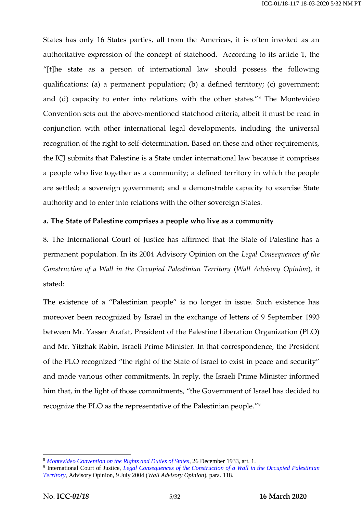States has only 16 States parties, all from the Americas, it is often invoked as an authoritative expression of the concept of statehood. According to its article 1, the "[t]he state as a person of international law should possess the following qualifications: (a) a permanent population; (b) a defined territory; (c) government; and (d) capacity to enter into relations with the other states."<sup>8</sup> The Montevideo Convention sets out the above-mentioned statehood criteria, albeit it must be read in conjunction with other international legal developments, including the universal recognition of the right to self-determination. Based on these and other requirements, the ICJ submits that Palestine is a State under international law because it comprises a people who live together as a community; a defined territory in which the people are settled; a sovereign government; and a demonstrable capacity to exercise State authority and to enter into relations with the other sovereign States.

### **a. The State of Palestine comprises a people who live as a community**

8. The International Court of Justice has affirmed that the State of Palestine has a permanent population. In its 2004 Advisory Opinion on the *Legal Consequences of the Construction of a Wall in the Occupied Palestinian Territory* (*Wall Advisory Opinion*), it stated:

The existence of a "Palestinian people" is no longer in issue. Such existence has moreover been recognized by Israel in the exchange of letters of 9 September 1993 between Mr. Yasser Arafat, President of the Palestine Liberation Organization (PLO) and Mr. Yitzhak Rabin, Israeli Prime Minister. In that correspondence, the President of the PLO recognized "the right of the State of Israel to exist in peace and security" and made various other commitments. In reply, the Israeli Prime Minister informed him that, in the light of those commitments, "the Government of Israel has decided to recognize the PLO as the representative of the Palestinian people."<sup>9</sup>

<sup>8</sup> *[Montevideo Convention on the Rights and Duties of States](https://www.jus.uio.no/english/services/library/treaties/01/1-02/rights-duties-states.xml)*, 26 December 1933, art. 1.

<sup>&</sup>lt;sup>9</sup> International Court of Justice, *Legal Consequences of the Construction of a Wall in the Occupied Palestinian [Territory](https://www.icj-cij.org/files/case-related/131/131-20040709-ADV-01-00-EN.pdf)*, Advisory Opinion, 9 July 2004 (*Wall Advisory Opinion*), para. 118.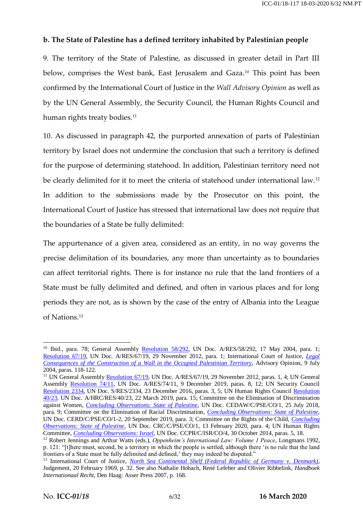### **b. The State of Palestine has a defined territory inhabited by Palestinian people**

9. The territory of the State of Palestine, as discussed in greater detail in Part III below, comprises the West bank, East Jerusalem and Gaza.<sup>10</sup> This point has been confirmed by the International Court of Justice in the *Wall Advisory Opinion* as well as by the UN General Assembly, the Security Council, the Human Rights Council and human rights treaty bodies.<sup>11</sup>

10. As discussed in paragraph 42, the purported annexation of parts of Palestinian territory by Israel does not undermine the conclusion that such a territory is defined for the purpose of determining statehood. In addition, Palestinian territory need not be clearly delimited for it to meet the criteria of statehood under international law.<sup>12</sup> In addition to the submissions made by the Prosecutor on this point, the International Court of Justice has stressed that international law does not require that the boundaries of a State be fully delimited:

The appurtenance of a given area, considered as an entity, in no way governs the precise delimitation of its boundaries, any more than uncertainty as to boundaries can affect territorial rights. There is for instance no rule that the land frontiers of a State must be fully delimited and defined, and often in various places and for long periods they are not, as is shown by the case of the entry of Albania into the League of Nations.<sup>13</sup>

<sup>&</sup>lt;sup>10</sup> Ibid., para. 78; General Assembly [Resolution 58/292,](https://unispal.un.org/DPA/DPR/unispal.nsf/0/A2C2938216B39DE485256EA70070C849) UN Doc. A/RES/58/292, 17 May 2004, para. 1; [Resolution 67/19,](https://documents-dds-ny.un.org/doc/UNDOC/GEN/N12/479/74/pdf/N1247974.pdf?OpenElement) UN Doc. A/RES/67/19, 29 November 2012, para. 1; International Court of Justice, *[Legal](https://www.icj-cij.org/files/case-related/131/131-20040709-ADV-01-00-EN.pdf)  [Consequences of the Construction of a Wall in the Occupied Palestinian Territory](https://www.icj-cij.org/files/case-related/131/131-20040709-ADV-01-00-EN.pdf)*, Advisory Opinion, 9 July 2004, paras. 118-122.

<sup>&</sup>lt;sup>11</sup> UN General Assembly [Resolution 67/19,](https://documents-dds-ny.un.org/doc/UNDOC/GEN/N12/479/74/pdf/N1247974.pdf?OpenElement) UN Doc. A/RES/67/19, 29 November 2012, paras. 1, 4; UN General Assembly [Resolution 74/11,](https://documents-dds-ny.un.org/doc/UNDOC/GEN/N19/392/81/pdf/N1939281.pdf?OpenElement) UN Doc. A/RES/74/11, 9 December 2019, paras. 8, 12; UN Security Council [Resolution 2334,](https://documents-dds-ny.un.org/doc/UNDOC/GEN/N16/463/89/pdf/N1646389.pdf?OpenElement) UN Doc. S/RES/2334, 23 December 2016, paras. 3, 5; UN Human Rights Council [Resolution](https://documents-dds-ny.un.org/doc/UNDOC/GEN/G19/108/61/pdf/G1910861.pdf?OpenElement)  [40/23,](https://documents-dds-ny.un.org/doc/UNDOC/GEN/G19/108/61/pdf/G1910861.pdf?OpenElement) UN Doc. A/HRC/RES/40/23, 22 March 2019, para. 15; Committee on the Elimination of Discrimination against Women, *[Concluding Observations: State of Palestine](https://documents-dds-ny.un.org/doc/UNDOC/GEN/N18/238/06/pdf/N1823806.pdf?OpenElement)*, UN Doc. CEDAW/C/PSE/CO/1, 25 July 2018, para. 9; Committee on the Elimination of Racial Discrimination, *[Concluding Observations: State of Palestine](https://documents-dds-ny.un.org/doc/UNDOC/GEN/G19/278/53/pdf/G1927853.pdf?OpenElement)*, UN Doc. CERD/C/PSE/CO/1-2, 20 September 2019, para. 3; Committee on the Rights of the Child, *[Concluding](https://tbinternet.ohchr.org/_layouts/15/treatybodyexternal/Download.aspx?symbolno=CRC%2fC%2fPSE%2fCO%2f1&Lang=en)  [Observations: State of Palestine](https://tbinternet.ohchr.org/_layouts/15/treatybodyexternal/Download.aspx?symbolno=CRC%2fC%2fPSE%2fCO%2f1&Lang=en)*, UN Doc. CRC/C/PSE/CO/1, 13 February 2020, para. 4; UN Human Rights Committee, *Concluding [Observations: Israel](https://documents-dds-ny.un.org/doc/UNDOC/GEN/G14/225/55/pdf/G1422555.pdf?OpenElement)*, UN Doc. CCPR/C/ISR/CO/4, 30 October 2014, paras. 5, 18.

<sup>12</sup> Robert Jennings and Arthur Watts (eds.), *Oppenheim's International Law: Volume 1 Peace*, Longmans 1992, p. 121: "[t]here must, second, be a territory in which the people is settled, although there 'is no rule that the land frontiers of a State must be fully delimited and defined,' they may indeed be disputed."

<sup>13</sup> International Court of Justice, *[North Sea Continental Shelf \(Federal Republic of Germany v. Denmark\)](https://www.icj-cij.org/files/case-related/51/051-19690220-JUD-01-00-EN.pdf)*, Judgement, 20 February 1969, p. 32. See also Nathalie Hobach, René Lefeber and Olivier Ribbelink, *Handboek Internationaal Recht*, Den Haag: Asser Press 2007, p. 168.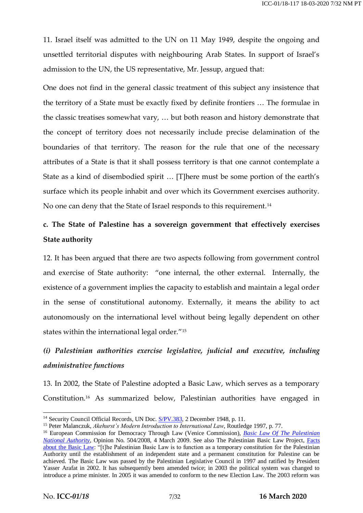11. Israel itself was admitted to the UN on 11 May 1949, despite the ongoing and unsettled territorial disputes with neighbouring Arab States. In support of Israel's admission to the UN, the US representative, Mr. Jessup, argued that:

One does not find in the general classic treatment of this subject any insistence that the territory of a State must be exactly fixed by definite frontiers … The formulae in the classic treatises somewhat vary, … but both reason and history demonstrate that the concept of territory does not necessarily include precise delamination of the boundaries of that territory. The reason for the rule that one of the necessary attributes of a State is that it shall possess territory is that one cannot contemplate a State as a kind of disembodied spirit … [T]here must be some portion of the earth's surface which its people inhabit and over which its Government exercises authority. No one can deny that the State of Israel responds to this requirement.<sup>14</sup>

# **c. The State of Palestine has a sovereign government that effectively exercises State authority**

12. It has been argued that there are two aspects following from government control and exercise of State authority: "one internal, the other external. Internally, the existence of a government implies the capacity to establish and maintain a legal order in the sense of constitutional autonomy. Externally, it means the ability to act autonomously on the international level without being legally dependent on other states within the international legal order."<sup>15</sup>

## *(i) Palestinian authorities exercise legislative, judicial and executive, including administrative functions*

13. In 2002, the State of Palestine adopted a Basic Law, which serves as a temporary Constitution.<sup>16</sup> As summarized below, Palestinian authorities have engaged in

<sup>&</sup>lt;sup>14</sup> Security Council Official Records, UN Doc. [S/PV.383,](https://undocs.org/en/S/PV.383) 2 December 1948, p. 11.

<sup>15</sup> Peter Malanczuk, *Akehurst's Modern Introduction to International Law*, Routledge 1997, p. 77.

<sup>16</sup> European Commission for Democracy Through Law (Venice Commission), *[Basic Law Of The Palestinian](https://www.venice.coe.int/webforms/documents/default.aspx?pdffile=CDL(2009)008-e)  [National Authority](https://www.venice.coe.int/webforms/documents/default.aspx?pdffile=CDL(2009)008-e)*, Opinion No. 504/2008, 4 March 2009. See also The Palestinian Basic Law Project, [Facts](https://www.palestinianbasiclaw.org/basic-law/2005-amendments;%20https:/www.palestinianbasiclaw.org/basic-law/2003-amended-basic-law)  [about the Basic Law:](https://www.palestinianbasiclaw.org/basic-law/2005-amendments;%20https:/www.palestinianbasiclaw.org/basic-law/2003-amended-basic-law) "[t]he Palestinian Basic Law is to function as a temporary constitution for the Palestinian Authority until the establishment of an independent state and a permanent constitution for Palestine can be achieved. The Basic Law was passed by the Palestinian Legislative Council in 1997 and ratified by President Yasser Arafat in 2002. It has subsequently been amended twice; in 2003 the political system was changed to introduce a prime minister. In 2005 it was amended to conform to the new Election Law. The 2003 reform was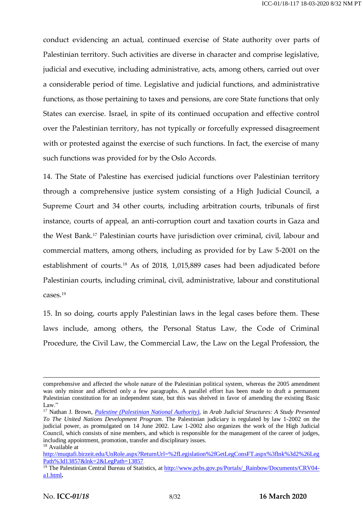conduct evidencing an actual, continued exercise of State authority over parts of Palestinian territory. Such activities are diverse in character and comprise legislative, judicial and executive, including administrative, acts, among others, carried out over a considerable period of time. Legislative and judicial functions, and administrative functions, as those pertaining to taxes and pensions, are core State functions that only States can exercise. Israel, in spite of its continued occupation and effective control over the Palestinian territory, has not typically or forcefully expressed disagreement with or protested against the exercise of such functions. In fact, the exercise of many such functions was provided for by the Oslo Accords.

14. The State of Palestine has exercised judicial functions over Palestinian territory through a comprehensive justice system consisting of a High Judicial Council, a Supreme Court and 34 other courts, including arbitration courts, tribunals of first instance, courts of appeal, an anti-corruption court and taxation courts in Gaza and the West Bank.<sup>17</sup> Palestinian courts have jurisdiction over criminal, civil, labour and commercial matters, among others, including as provided for by Law 5-2001 on the establishment of courts.<sup>18</sup> As of 2018, 1,015,889 cases had been adjudicated before Palestinian courts, including criminal, civil, administrative, labour and constitutional cases.<sup>19</sup>

15. In so doing, courts apply Palestinian laws in the legal cases before them. These laws include, among others, the Personal Status Law, the Code of Criminal Procedure, the Civil Law, the Commercial Law, the Law on the Legal Profession, the

comprehensive and affected the whole nature of the Palestinian political system, whereas the 2005 amendment was only minor and affected only a few paragraphs. A parallel effort has been made to draft a permanent Palestinian constitution for an independent state, but this was shelved in favor of amending the existing Basic Law."

<sup>17</sup> Nathan J. Brown, *[Palestine \(Palestinian National Authority\)](https://www.pogar.org/publications/judiciary/nbrown/palestine.html)*, in *Arab Judicial Structures: A Study Presented To The United Nations Development Program*. The Palestinian judiciary is regulated by law 1-2002 on the judicial power, as promulgated on 14 June 2002. Law 1-2002 also organizes the work of the High Judicial Council, which consists of nine members, and which is responsible for the management of the career of judges, including appointment, promotion, transfer and disciplinary issues.

<sup>&</sup>lt;sup>18</sup> Available at

[http://muqtafi.birzeit.edu/UnRole.aspx?ReturnUrl=%2fLegislation%2fGetLegConsFT.aspx%3flnk%3d2%26Leg](http://muqtafi.birzeit.edu/UnRole.aspx?ReturnUrl=%2fLegislation%2fGetLegConsFT.aspx%3flnk%3d2%26LegPath%3d13857&lnk=2&LegPath=13857) [Path%3d13857&lnk=2&LegPath=13857.](http://muqtafi.birzeit.edu/UnRole.aspx?ReturnUrl=%2fLegislation%2fGetLegConsFT.aspx%3flnk%3d2%26LegPath%3d13857&lnk=2&LegPath=13857)

<sup>&</sup>lt;sup>19</sup> The Palestinian Central Bureau of Statistics, at [http://www.pcbs.gov.ps/Portals/\\_Rainbow/Documents/CRV04](http://www.pcbs.gov.ps/Portals/_Rainbow/Documents/CRV04-a1.html) [a1.html](http://www.pcbs.gov.ps/Portals/_Rainbow/Documents/CRV04-a1.html)**.**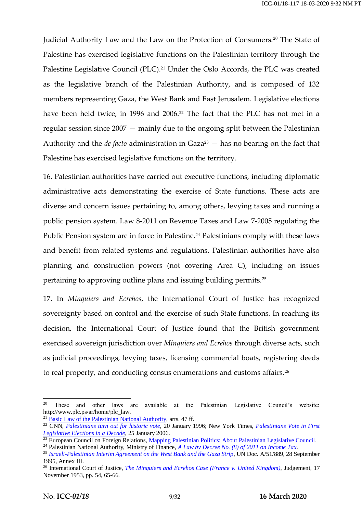Judicial Authority Law and the Law on the Protection of Consumers.<sup>20</sup> The State of Palestine has exercised legislative functions on the Palestinian territory through the Palestine Legislative Council (PLC).<sup>21</sup> Under the Oslo Accords, the PLC was created as the legislative branch of the Palestinian Authority, and is composed of 132 members representing Gaza, the West Bank and East Jerusalem. Legislative elections have been held twice, in 1996 and 2006.<sup>22</sup> The fact that the PLC has not met in a regular session since 2007 — mainly due to the ongoing split between the Palestinian Authority and the *de facto* administration in Gaza<sup>23</sup> — has no bearing on the fact that Palestine has exercised legislative functions on the territory.

16. Palestinian authorities have carried out executive functions, including diplomatic administrative acts demonstrating the exercise of State functions. These acts are diverse and concern issues pertaining to, among others, levying taxes and running a public pension system. Law 8-2011 on Revenue Taxes and Law 7-2005 regulating the Public Pension system are in force in Palestine.<sup>24</sup> Palestinians comply with these laws and benefit from related systems and regulations. Palestinian authorities have also planning and construction powers (not covering Area C), including on issues pertaining to approving outline plans and issuing building permits.<sup>25</sup>

17. In *Minquiers and Ecrehos*, the International Court of Justice has recognized sovereignty based on control and the exercise of such State functions. In reaching its decision, the International Court of Justice found that the British government exercised sovereign jurisdiction over *Minquiers and Ecrehos* through diverse acts, such as judicial proceedings, levying taxes, licensing commercial boats, registering deeds to real property, and conducting census enumerations and customs affairs.<sup>26</sup>

<sup>20</sup> These and other laws are available at the Palestinian Legislative Council's website: http://www.plc.ps/ar/home/plc\_law.

 $21$  [Basic Law of the Palestinian National Authority,](https://www.venice.coe.int/webforms/documents/default.aspx?pdffile=CDL(2009)008-e) arts. 47 ff.

<sup>22</sup> CNN, *[Palestinians turn out for historic vote](http://edition.cnn.com/WORLD/9601/palestine_elex/)*, 20 January 1996; New York Times, *[Palestinians Vote in First](https://www.nytimes.com/2006/01/25/world/middleeast/palestinians-vote-in-first-legislative-elections-in-a.html)  [Legislative Elections in a Decade](https://www.nytimes.com/2006/01/25/world/middleeast/palestinians-vote-in-first-legislative-elections-in-a.html)*, 25 January 2006.

<sup>&</sup>lt;sup>23</sup> European Council on Foreign Relations, [Mapping Palestinian Politics: About Palestinian Legislative Council.](https://www.ecfr.eu/mapping_palestinian_politics/detail/palestine_legislative_council)

<sup>24</sup> Palestinian National Authority, Ministry of Finance, *[A Law by Decree No. \(8\) of 2011 on Income Tax](http://legal.pipa.ps/files/server/Income%20Tax%20Law%202011%20-%20English%20-%20Final.pdf)*. <sup>25</sup> *[Israeli-Palestinian Interim Agreement on the West Bank and the Gaza Strip](https://mfa.gov.il/mfa/foreignpolicy/peace/guide/pages/the%20israeli-palestinian%20interim%20agreement.aspx)*, UN Doc. A/51/889, 28 September 1995, Annex III.

<sup>26</sup> International Court of Justice, *The [Minquiers and Ecrehos Case \(France v. United Kingdom\)](https://www.icj-cij.org/files/case-related/17/017-19531117-JUD-01-00-EN.pdf)*, Judgement, 17 November 1953, pp. 54, 65-66.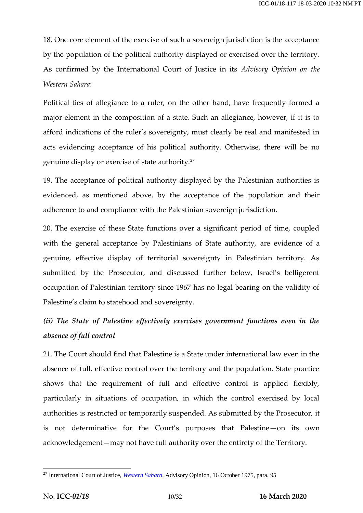18. One core element of the exercise of such a sovereign jurisdiction is the acceptance by the population of the political authority displayed or exercised over the territory. As confirmed by the International Court of Justice in its *Advisory Opinion on the Western Sahara*:

Political ties of allegiance to a ruler, on the other hand, have frequently formed a major element in the composition of a state. Such an allegiance, however, if it is to afford indications of the ruler's sovereignty, must clearly be real and manifested in acts evidencing acceptance of his political authority. Otherwise, there will be no genuine display or exercise of state authority.<sup>27</sup>

19. The acceptance of political authority displayed by the Palestinian authorities is evidenced, as mentioned above, by the acceptance of the population and their adherence to and compliance with the Palestinian sovereign jurisdiction.

20. The exercise of these State functions over a significant period of time, coupled with the general acceptance by Palestinians of State authority, are evidence of a genuine, effective display of territorial sovereignty in Palestinian territory. As submitted by the Prosecutor, and discussed further below, Israel's belligerent occupation of Palestinian territory since 1967 has no legal bearing on the validity of Palestine's claim to statehood and sovereignty.

## *(ii) The State of Palestine effectively exercises government functions even in the absence of full control*

21. The Court should find that Palestine is a State under international law even in the absence of full, effective control over the territory and the population. State practice shows that the requirement of full and effective control is applied flexibly, particularly in situations of occupation, in which the control exercised by local authorities is restricted or temporarily suspended. As submitted by the Prosecutor, it is not determinative for the Court's purposes that Palestine—on its own acknowledgement—may not have full authority over the entirety of the Territory.

<sup>27</sup> International Court of Justice, *[Western Sahara](https://www.icj-cij.org/files/case-related/61/061-19751016-ADV-01-00-EN.pdf)*, Advisory Opinion, 16 October 1975, para. 95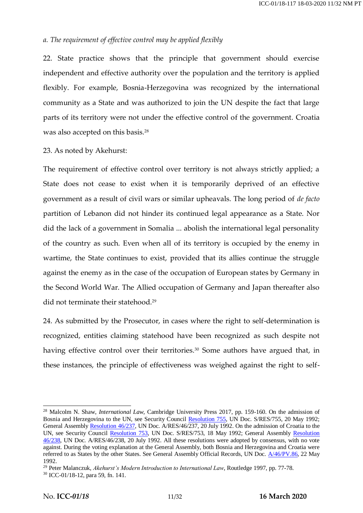### *a. The requirement of effective control may be applied flexibly*

22. State practice shows that the principle that government should exercise independent and effective authority over the population and the territory is applied flexibly. For example, Bosnia-Herzegovina was recognized by the international community as a State and was authorized to join the UN despite the fact that large parts of its territory were not under the effective control of the government. Croatia was also accepted on this basis.<sup>28</sup>

### 23. As noted by Akehurst:

The requirement of effective control over territory is not always strictly applied; a State does not cease to exist when it is temporarily deprived of an effective government as a result of civil wars or similar upheavals. The long period of *de facto* partition of Lebanon did not hinder its continued legal appearance as a State. Nor did the lack of a government in Somalia ... abolish the international legal personality of the country as such. Even when all of its territory is occupied by the enemy in wartime, the State continues to exist, provided that its allies continue the struggle against the enemy as in the case of the occupation of European states by Germany in the Second World War. The Allied occupation of Germany and Japan thereafter also did not terminate their statehood.<sup>29</sup>

24. As submitted by the Prosecutor, in cases where the right to self-determination is recognized, entities claiming statehood have been recognized as such despite not having effective control over their territories.<sup>30</sup> Some authors have argued that, in these instances, the principle of effectiveness was weighed against the right to self-

<sup>28</sup> Malcolm N. Shaw, *International Law*, Cambridge University Press 2017, pp. 159-160. On the admission of Bosnia and Herzegovina to the UN, see Security Council [Resolution 755,](https://undocs.org/S/RES/755(1992)) UN Doc. S/RES/755, 20 May 1992; General Assembl[y Resolution 46/237,](https://undocs.org/en/A/RES/46/237) UN Doc. A/RES/46/237, 20 July 1992. On the admission of Croatia to the UN, see Security Council [Resolution 753,](https://undocs.org/S/RES/753(1992)) UN Doc. S/RES/753, 18 May 1992; General Assembly Resolution [46/238,](https://undocs.org/en/A/RES/46/238) UN Doc. A/RES/46/238, 20 July 1992. All these resolutions were adopted by consensus, with no vote against. During the voting explanation at the General Assembly, both Bosnia and Herzegovina and Croatia were referred to as States by the other States. See General Assembly Official Records, UN Doc. [A/46/PV.86,](https://documents-dds-ny.un.org/doc/UNDOC/PRO/N92/607/11/pdf/N9260711.pdf?OpenElement) 22 May 1992.

<sup>29</sup> Peter Malanczuk, *Akehurst's Modern Introduction to International Law*, Routledge 1997, pp. 77-78.

<sup>30</sup> ICC-01/18-12, para 59, fn. 141.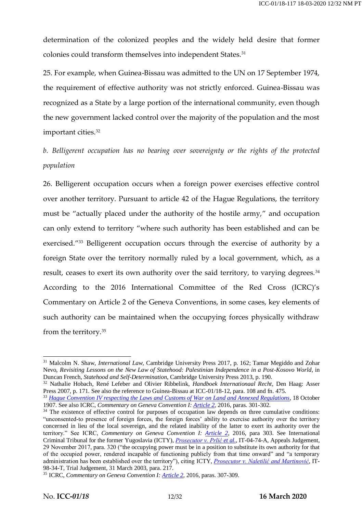determination of the colonized peoples and the widely held desire that former colonies could transform themselves into independent States.<sup>31</sup>

25. For example, when Guinea-Bissau was admitted to the UN on 17 September 1974, the requirement of effective authority was not strictly enforced. Guinea-Bissau was recognized as a State by a large portion of the international community, even though the new government lacked control over the majority of the population and the most important cities.<sup>32</sup>

*b. Belligerent occupation has no bearing over sovereignty or the rights of the protected population*

26. Belligerent occupation occurs when a foreign power exercises effective control over another territory. Pursuant to article 42 of the Hague Regulations, the territory must be "actually placed under the authority of the hostile army," and occupation can only extend to territory "where such authority has been established and can be exercised."<sup>33</sup> Belligerent occupation occurs through the exercise of authority by a foreign State over the territory normally ruled by a local government, which, as a result, ceases to exert its own authority over the said territory, to varying degrees.<sup>34</sup> According to the 2016 International Committee of the Red Cross (ICRC)'s Commentary on Article 2 of the Geneva Conventions, in some cases, key elements of such authority can be maintained when the occupying forces physically withdraw from the territory.<sup>35</sup>

<sup>&</sup>lt;sup>31</sup> Malcolm N. Shaw, *International Law*, Cambridge University Press 2017, p. 162; Tamar Megiddo and Zohar Nevo, *Revisiting Lessons on the New Law of Statehood: Palestinian Independence in a Post-Kosovo World*, in Duncan French, *Statehood and Self-Determination*, Cambridge University Press 2013, p. 190.

<sup>32</sup> Nathalie Hobach, René Lefeber and Olivier Ribbelink, *Handboek Internationaal Recht*, Den Haag: Asser Press 2007, p. 171. See also the reference to Guinea-Bissau at ICC-01/18-12, para. 108 and fn. 475.

<sup>33</sup> *[Hague Convention IV respecting the Laws and Customs of War on Land and Annexed Regulations](https://ihl-databases.icrc.org/applic/ihl/ihl.nsf/Treaty.xsp?documentId=4D47F92DF3966A7EC12563CD002D6788&action=openDocument)*, 18 October 1907. See also ICRC, *Commentary on Geneva Convention I: [Article 2](https://ihl-databases.icrc.org/applic/ihl/ihl.nsf/Comment.xsp?action=openDocument&documentId=BE2D518CF5DE54EAC1257F7D0036B518)*, 2016, paras. 301-302.

<sup>&</sup>lt;sup>34</sup> The existence of effective control for purposes of occupation law depends on three cumulative conditions: "unconsented-to presence of foreign forces, the foreign forces' ability to exercise authority over the territory concerned in lieu of the local sovereign, and the related inability of the latter to exert its authority over the territory." See ICRC, *Commentary on Geneva Convention I: [Article 2](https://ihl-databases.icrc.org/applic/ihl/ihl.nsf/Comment.xsp?action=openDocument&documentId=BE2D518CF5DE54EAC1257F7D0036B518)*, 2016, para 303. See International Criminal Tribunal for the former Yugoslavia (ICTY), *[Prosecutor v. Prlić](https://www.icty.org/x/cases/prlic/acjug/en/171129-judgement-vol-1.pdf) et al.*, IT-04-74-A, Appeals Judgement, 29 November 2017, para. 320 ("the occupying power must be in a position to substitute its own authority for that of the occupied power, rendered incapable of functioning publicly from that time onward" and "a temporary administration has been established over the territory"), citing ICTY, *[Prosecutor v. Naletilić and Martinović](https://www.icty.org/x/cases/naletilic_martinovic/tjug/en/nal-tj030331-e.pdf)*, IT-98-34-T, Trial Judgement, 31 March 2003, para. 217.

<sup>35</sup> ICRC, *Commentary on Geneva Convention I[: Article 2](https://ihl-databases.icrc.org/applic/ihl/ihl.nsf/Comment.xsp?action=openDocument&documentId=BE2D518CF5DE54EAC1257F7D0036B518)*, 2016, paras. 307-309.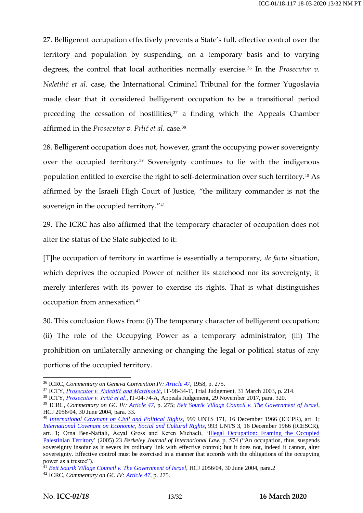27. Belligerent occupation effectively prevents a State's full, effective control over the territory and population by suspending, on a temporary basis and to varying degrees, the control that local authorities normally exercise.<sup>36</sup> In the *Prosecutor v*. *Naletilić et al*. case, the International Criminal Tribunal for the former Yugoslavia made clear that it considered belligerent occupation to be a transitional period preceding the cessation of hostilities, $37$  a finding which the Appeals Chamber affirmed in the *Prosecutor v. Prlić et al.* case.<sup>38</sup>

28. Belligerent occupation does not, however, grant the occupying power sovereignty over the occupied territory.<sup>39</sup> Sovereignty continues to lie with the indigenous population entitled to exercise the right to self-determination over such territory.<sup>40</sup> As affirmed by the Israeli High Court of Justice, "the military commander is not the sovereign in the occupied territory."<sup>41</sup>

29. The ICRC has also affirmed that the temporary character of occupation does not alter the status of the State subjected to it:

[T]he occupation of territory in wartime is essentially a temporary, *de facto* situation, which deprives the occupied Power of neither its statehood nor its sovereignty; it merely interferes with its power to exercise its rights. That is what distinguishes occupation from annexation.<sup>42</sup>

30. This conclusion flows from: (i) The temporary character of belligerent occupation; (ii) The role of the Occupying Power as a temporary administrator; (iii) The prohibition on unilaterally annexing or changing the legal or political status of any portions of the occupied territory.

<sup>36</sup> ICRC, *Commentary on Geneva Convention IV: [Article 47](https://ihl-databases.icrc.org/applic/ihl/ihl.nsf/Comment.xsp?action=openDocument&documentId=C4712FE71392AFE1C12563CD0042C34A)*, 1958, p. 275.

<sup>&</sup>lt;sup>37</sup> ICTY, *[Prosecutor v. Naletilić and Martinović](https://www.icty.org/x/cases/naletilic_martinovic/tjug/en/nal-tj030331-e.pdf)*, IT-98-34-T, Trial Judgement, 31 March 2003, p. 214.

<sup>38</sup> ICTY, *[Prosecutor v. Prlić et al.](https://www.icty.org/x/cases/prlic/acjug/en/171129-judgement-vol-1.pdf)*, IT-04-74-A, Appeals Judgement, 29 November 2017, para. 320.

<sup>39</sup> ICRC, *Commentary on GC IV: [Article 47](https://ihl-databases.icrc.org/applic/ihl/ihl.nsf/Comment.xsp?action=openDocument&documentId=C4712FE71392AFE1C12563CD0042C34A)*, p. 275; *[Beit Sourik Village Council v. The Government of Israel](https://www.refworld.org/cases,ISR_SC,4374ac594.html)*, HCJ 2056/04, 30 June 2004, para. 33.

<sup>40</sup> *[International Covenant on Civil and Political Rights](https://www.ohchr.org/en/professionalinterest/pages/ccpr.aspx)*, 999 UNTS 171, 16 December 1966 (ICCPR), art. 1; *[International Covenant on Economic, Social and Cultural Rights](https://www.ohchr.org/en/professionalinterest/pages/cescr.aspx)*, 993 UNTS 3, 16 December 1966 (ICESCR), art. 1; Orna Ben-Naftali, Aeyal Gross and Keren Michaeli, ['Illegal Occupation: Framing the Occupied](https://www.academia.edu/23962532/Illegal_Occupation_The_Framing_of_the_Occupied_Palestinian_Territory)  [Palestinian Territory'](https://www.academia.edu/23962532/Illegal_Occupation_The_Framing_of_the_Occupied_Palestinian_Territory) (2005) 23 *Berkeley Journal of International Law*, p. 574 ("An occupation, thus, suspends sovereignty insofar as it severs its ordinary link with effective control; but it does not, indeed it cannot, alter sovereignty. Effective control must be exercised in a manner that accords with the obligations of the occupying power as a trustee").

<sup>41</sup> *[Beit Sourik Village Council v. The Government of Israel](https://www.refworld.org/cases,ISR_SC,4374ac594.html)*, HCJ 2056/04, 30 June 2004, para.2

<sup>42</sup> ICRC, *Commentary on GC IV[: Article 47](https://ihl-databases.icrc.org/applic/ihl/ihl.nsf/Comment.xsp?action=openDocument&documentId=C4712FE71392AFE1C12563CD0042C34A)*, p. 275.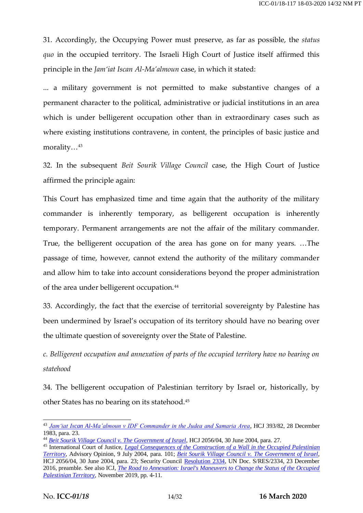31. Accordingly, the Occupying Power must preserve, as far as possible, the *status quo* in the occupied territory. The Israeli High Court of Justice itself affirmed this principle in the *Jam'iat Iscan Al-Ma'almoun* case, in which it stated:

... a military government is not permitted to make substantive changes of a permanent character to the political, administrative or judicial institutions in an area which is under belligerent occupation other than in extraordinary cases such as where existing institutions contravene, in content, the principles of basic justice and morality…<sup>43</sup>

32. In the subsequent *Beit Sourik Village Council* case, the High Court of Justice affirmed the principle again:

This Court has emphasized time and time again that the authority of the military commander is inherently temporary, as belligerent occupation is inherently temporary. Permanent arrangements are not the affair of the military commander. True, the belligerent occupation of the area has gone on for many years. …The passage of time, however, cannot extend the authority of the military commander and allow him to take into account considerations beyond the proper administration of the area under belligerent occupation.<sup>44</sup>

33. Accordingly, the fact that the exercise of territorial sovereignty by Palestine has been undermined by Israel's occupation of its territory should have no bearing over the ultimate question of sovereignty over the State of Palestine.

*c. Belligerent occupation and annexation of parts of the occupied territory have no bearing on statehood*

34. The belligerent occupation of Palestinian territory by Israel or, historically, by other States has no bearing on its statehood.<sup>45</sup>

<sup>43</sup> *[Jam'iat Iscan Al-Ma'almoun v IDF Commander in the Judea and Samaria Area](http://hamokeden.red-id.com/Document.aspx?dID=160)*, HCJ 393/82, 28 December 1983, para. 23.

<sup>44</sup> *[Beit Sourik Village Council v. The Government of Israel](https://www.refworld.org/cases,ISR_SC,4374ac594.html)*, HCJ 2056/04, 30 June 2004, para. 27.

<sup>45</sup> International Court of Justice, *[Legal Consequences of the Construction of a Wall in the Occupied Palestinian](https://www.icj-cij.org/files/case-related/131/131-20040709-ADV-01-00-EN.pdf)  [Territory](https://www.icj-cij.org/files/case-related/131/131-20040709-ADV-01-00-EN.pdf)*, Advisory Opinion, 9 July 2004, para. 101; *[Beit Sourik Village Council v. The Government of Israel](https://www.refworld.org/cases,ISR_SC,4374ac594.html)*, HCJ 2056/04, 30 June 2004, para. 23; Security Council [Resolution 2334,](https://documents-dds-ny.un.org/doc/UNDOC/GEN/N16/463/89/pdf/N1646389.pdf?OpenElement) UN Doc. S/RES/2334, 23 December 2016, preamble. See also ICJ, *[The Road to Annexation: Israel's Maneuvers to Change the Status of the Occupied](https://www.icj.org/wp-content/uploads/2019/11/Israel-Road-to-Annexion-Advocacy-Analysis-brief-2019-ENG.pdf)  [Palestinian Territory](https://www.icj.org/wp-content/uploads/2019/11/Israel-Road-to-Annexion-Advocacy-Analysis-brief-2019-ENG.pdf)*, November 2019, pp. 4-11.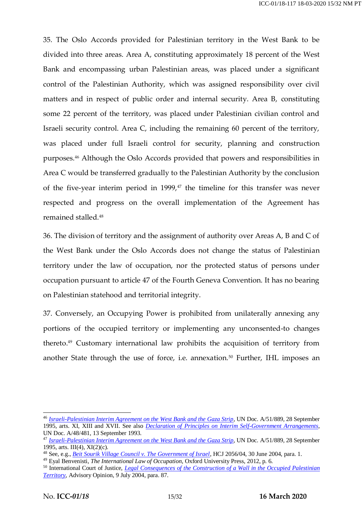35. The Oslo Accords provided for Palestinian territory in the West Bank to be divided into three areas. Area A, constituting approximately 18 percent of the West Bank and encompassing urban Palestinian areas, was placed under a significant control of the Palestinian Authority, which was assigned responsibility over civil matters and in respect of public order and internal security. Area B, constituting some 22 percent of the territory, was placed under Palestinian civilian control and Israeli security control. Area C, including the remaining 60 percent of the territory, was placed under full Israeli control for security, planning and construction purposes.<sup>46</sup> Although the Oslo Accords provided that powers and responsibilities in Area C would be transferred gradually to the Palestinian Authority by the conclusion of the five-year interim period in  $1999<sub>1</sub><sup>47</sup>$  the timeline for this transfer was never respected and progress on the overall implementation of the Agreement has remained stalled.<sup>48</sup>

36. The division of territory and the assignment of authority over Areas A, B and C of the West Bank under the Oslo Accords does not change the status of Palestinian territory under the law of occupation, nor the protected status of persons under occupation pursuant to article 47 of the Fourth Geneva Convention. It has no bearing on Palestinian statehood and territorial integrity.

37. Conversely, an Occupying Power is prohibited from unilaterally annexing any portions of the occupied territory or implementing any unconsented-to changes thereto.<sup>49</sup> Customary international law prohibits the acquisition of territory from another State through the use of force, i.e. annexation.<sup>50</sup> Further, IHL imposes an

<sup>46</sup> *[Israeli-Palestinian Interim Agreement on the West Bank and the Gaza Strip](https://mfa.gov.il/mfa/foreignpolicy/peace/guide/pages/the%20israeli-palestinian%20interim%20agreement.aspx)*, UN Doc. A/51/889, 28 September 1995, arts. XI, XIII and XVII. See also *[Declaration of Principles on Interim Self-Government Arrangements](https://mfa.gov.il/mfa/foreignpolicy/peace/guide/pages/declaration%20of%20principles.aspx)*, UN Doc. A/48/481, 13 September 1993.

<sup>47</sup> *[Israeli-Palestinian Interim Agreement on the West Bank and the Gaza Strip](https://mfa.gov.il/mfa/foreignpolicy/peace/guide/pages/the%20israeli-palestinian%20interim%20agreement.aspx)*, UN Doc. A/51/889, 28 September 1995, arts. III(4), XI(2)(c).

<sup>48</sup> See, e.g., *[Beit Sourik Village Council v. The Government of Israel](https://www.refworld.org/cases,ISR_SC,4374ac594.html)*, HCJ 2056/04, 30 June 2004, para. 1.

<sup>49</sup> Eyal Benvenisti, *The International Law of Occupation*, Oxford University Press, 2012, p. 6.

<sup>50</sup> International Court of Justice, *[Legal Consequences of the Construction of a Wall in the Occupied Palestinian](https://www.icj-cij.org/files/case-related/131/131-20040709-ADV-01-00-EN.pdf)  [Territory](https://www.icj-cij.org/files/case-related/131/131-20040709-ADV-01-00-EN.pdf)*, Advisory Opinion, 9 July 2004, para. 87.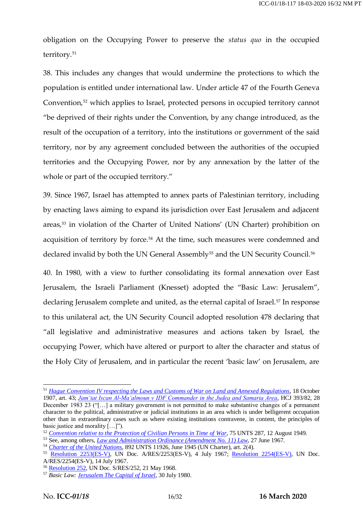obligation on the Occupying Power to preserve the *status quo* in the occupied territory.<sup>51</sup>

38. This includes any changes that would undermine the protections to which the population is entitled under international law. Under article 47 of the Fourth Geneva Convention,<sup>52</sup> which applies to Israel, protected persons in occupied territory cannot "be deprived of their rights under the Convention, by any change introduced, as the result of the occupation of a territory, into the institutions or government of the said territory, nor by any agreement concluded between the authorities of the occupied territories and the Occupying Power, nor by any annexation by the latter of the whole or part of the occupied territory."

39. Since 1967, Israel has attempted to annex parts of Palestinian territory, including by enacting laws aiming to expand its jurisdiction over East Jerusalem and adjacent areas,<sup>53</sup> in violation of the Charter of United Nations' (UN Charter) prohibition on acquisition of territory by force.<sup>54</sup> At the time, such measures were condemned and declared invalid by both the UN General Assembly<sup>55</sup> and the UN Security Council.<sup>56</sup>

40. In 1980, with a view to further consolidating its formal annexation over East Jerusalem, the Israeli Parliament (Knesset) adopted the "Basic Law: Jerusalem", declaring Jerusalem complete and united, as the eternal capital of Israel.<sup>57</sup> In response to this unilateral act, the UN Security Council adopted resolution 478 declaring that "all legislative and administrative measures and actions taken by Israel, the occupying Power, which have altered or purport to alter the character and status of the Holy City of Jerusalem, and in particular the recent 'basic law' on Jerusalem, are

<sup>51</sup> *[Hague Convention IV respecting the Laws and Customs of War on Land and Annexed Regulations](https://ihl-databases.icrc.org/applic/ihl/ihl.nsf/Treaty.xsp?documentId=4D47F92DF3966A7EC12563CD002D6788&action=openDocument)*, 18 October 1907, art. 43; *[Jam'iat Iscan Al-Ma'almoun v IDF Commander in the Judea and Samaria Area](http://hamokeden.red-id.com/Document.aspx?dID=160)*, HCJ 393/82, 28 December 1983 23 ("[…] a military government is not permitted to make substantive changes of a permanent character to the political, administrative or judicial institutions in an area which is under belligerent occupation other than in extraordinary cases such as where existing institutions contravene, in content, the principles of basic justice and morality […]").

<sup>52</sup> *[Convention relative to the Protection of Civilian Persons in Time of War](https://ihl-databases.icrc.org/ihl/INTRO/380)*, 75 UNTS 287, 12 August 1949.

<sup>53</sup> See, among others, *[Law and Administration Ordinance \(Amendment No. 11\) Law](https://www.mfa.gov.il/mfa/foreignpolicy/mfadocuments/yearbook1/pages/13%20law%20and%20administration%20ordinance%20-amendment%20no.aspx)*, 27 June 1967.

<sup>54</sup> *[Charter of the United Nations](https://www.un.org/en/charter-united-nations/)*, 892 UNTS 11926, June 1945 (UN Charter), art. 2(4).

<sup>55</sup> [Resolution 2253\(ES-V\),](http://www.un.org/en/ga/search/view_doc.asp?symbol=A/RES/2253(ES-V)) UN Doc. A/RES/2253(ES-V), 4 July 1967; [Resolution 2254\(ES-V\),](http://www.un.org/en/ga/search/view_doc.asp?symbol=A/RES/2254(ES-V)) UN Doc. A/RES/2254(ES-V), 14 July 1967.

<sup>56</sup> [Resolution 252,](https://digitallibrary.un.org/record/90754?ln=en) UN Doc. S/RES/252, 21 May 1968.

<sup>57</sup> *Basic Law[: Jerusalem The Capital of Israel](https://www.knesset.gov.il/laws/special/eng/basic10_eng.htm)*, 30 July 1980.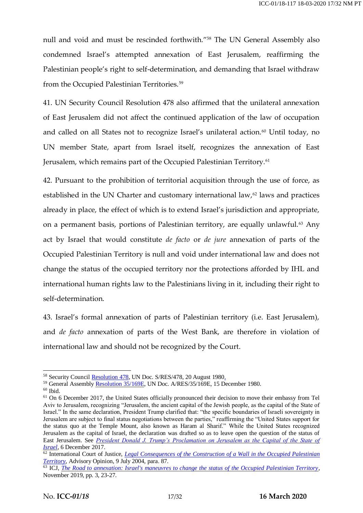null and void and must be rescinded forthwith."<sup>58</sup> The UN General Assembly also condemned Israel's attempted annexation of East Jerusalem, reaffirming the Palestinian people's right to self-determination, and demanding that Israel withdraw from the Occupied Palestinian Territories.<sup>59</sup>

41. UN Security Council Resolution 478 also affirmed that the unilateral annexation of East Jerusalem did not affect the continued application of the law of occupation and called on all States not to recognize Israel's unilateral action.<sup>60</sup> Until today, no UN member State, apart from Israel itself, recognizes the annexation of East Jerusalem, which remains part of the Occupied Palestinian Territory.<sup>61</sup>

42. Pursuant to the prohibition of territorial acquisition through the use of force, as established in the UN Charter and customary international law, $62$  laws and practices already in place, the effect of which is to extend Israel's jurisdiction and appropriate, on a permanent basis, portions of Palestinian territory, are equally unlawful.<sup>63</sup> Any act by Israel that would constitute *de facto* or *de jure* annexation of parts of the Occupied Palestinian Territory is null and void under international law and does not change the status of the occupied territory nor the protections afforded by IHL and international human rights law to the Palestinians living in it, including their right to self-determination.

43. Israel's formal annexation of parts of Palestinian territory (i.e. East Jerusalem), and *de facto* annexation of parts of the West Bank, are therefore in violation of international law and should not be recognized by the Court.

<sup>&</sup>lt;sup>58</sup> Security Council [Resolution 478,](https://digitallibrary.un.org/record/25618?ln=en) UN Doc. S/RES/478, 20 August 1980.

<sup>59</sup> General Assembl[y Resolution 35/169E,](https://undocs.org/en/A/RES/35/169) UN Doc. A/RES/35/169E, 15 December 1980.

 $60$  Ibid.

<sup>&</sup>lt;sup>61</sup> On 6 December 2017, the United States officially pronounced their decision to move their embassy from Tel Aviv to Jerusalem, recognizing "Jerusalem, the ancient capital of the Jewish people, as the capital of the State of Israel." In the same declaration, President Trump clarified that: "the specific boundaries of Israeli sovereignty in Jerusalem are subject to final status negotiations between the parties," reaffirming the "United States support for the status quo at the Temple Mount, also known as Haram al Sharif." While the United States recognized Jerusalem as the capital of Israel, the declaration was drafted so as to leave open the question of the status of East Jerusalem. See *[President Donald J. Trump's Proclamation on Jerusalem as the Capital of the State of](https://www.whitehouse.gov/briefings-statements/president-donald-j-trumps-proclamation-jerusalem-capital-state-israel/)  [Israel](https://www.whitehouse.gov/briefings-statements/president-donald-j-trumps-proclamation-jerusalem-capital-state-israel/)*, 6 December 2017.

<sup>62</sup> International Court of Justice, *[Legal Consequences of the Construction of a Wall in the Occupied Palestinian](https://www.icj-cij.org/files/case-related/131/131-20040709-ADV-01-00-EN.pdf)  [Territory](https://www.icj-cij.org/files/case-related/131/131-20040709-ADV-01-00-EN.pdf)*, Advisory Opinion, 9 July 2004, para. 87.

<sup>63</sup> ICJ, *[The Road to annexation: Israel's maneuvres to change the status of the Occupied Palestinian Territory](https://www.icj.org/wp-content/uploads/2019/11/Israel-Road-to-Annexion-Advocacy-Analysis-brief-2019-ENG.pdf)*, November 2019, pp. 3, 23-27.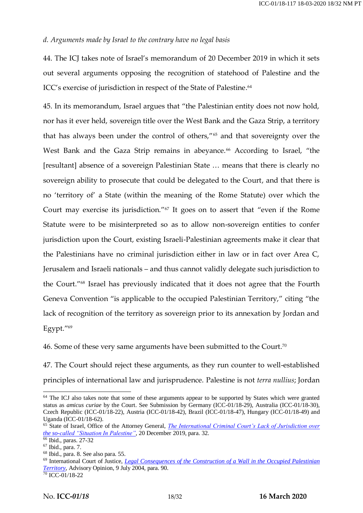### *d. Arguments made by Israel to the contrary have no legal basis*

44. The ICJ takes note of Israel's memorandum of 20 December 2019 in which it sets out several arguments opposing the recognition of statehood of Palestine and the ICC's exercise of jurisdiction in respect of the State of Palestine. 64

45. In its memorandum, Israel argues that "the Palestinian entity does not now hold, nor has it ever held, sovereign title over the West Bank and the Gaza Strip, a territory that has always been under the control of others,"<sup>65</sup> and that sovereignty over the West Bank and the Gaza Strip remains in abeyance.<sup>66</sup> According to Israel, "the [resultant] absence of a sovereign Palestinian State … means that there is clearly no sovereign ability to prosecute that could be delegated to the Court, and that there is no 'territory of' a State (within the meaning of the Rome Statute) over which the Court may exercise its jurisdiction."<sup>67</sup> It goes on to assert that "even if the Rome Statute were to be misinterpreted so as to allow non-sovereign entities to confer jurisdiction upon the Court, existing Israeli-Palestinian agreements make it clear that the Palestinians have no criminal jurisdiction either in law or in fact over Area C, Jerusalem and Israeli nationals – and thus cannot validly delegate such jurisdiction to the Court."<sup>68</sup> Israel has previously indicated that it does not agree that the Fourth Geneva Convention "is applicable to the occupied Palestinian Territory," citing "the lack of recognition of the territory as sovereign prior to its annexation by Jordan and Egypt."<sup>69</sup>

46. Some of these very same arguments have been submitted to the Court.<sup>70</sup>

47. The Court should reject these arguments, as they run counter to well-established principles of international law and jurisprudence. Palestine is not *terra nullius*; Jordan

<sup>&</sup>lt;sup>64</sup> The ICJ also takes note that some of these arguments appear to be supported by States which were granted status as *amicus curiae* by the Court. See Submission by Germany (ICC-01/18-29), Australia (ICC-01/18-30), Czech Republic (ICC-01/18-22), Austria (ICC-01/18-42), Brazil (ICC-01/18-47), Hungary (ICC-01/18-49) and Uganda (ICC-01/18-62).

<sup>&</sup>lt;sup>65</sup> State of Israel, Office of the Attorney General, *The International Criminal Court's Lack of Jurisdiction over [the so-called "Situation In Palestine"](https://mfa.gov.il/MFA/PressRoom/2019/Pages/ICCs-lack-of-jurisdiction-over-so-called-situation-in-Palestine-20-Dec-2019.aspx)*, 20 December 2019, para. 32.

<sup>&</sup>lt;sup>66</sup> Ibid., paras. 27-32

<sup>67</sup> Ibid., para. 7.

<sup>68</sup> Ibid., para. 8. See also para. 55.

<sup>69</sup> International Court of Justice, *[Legal Consequences of the Construction of a Wall in the Occupied Palestinian](https://www.icj-cij.org/files/case-related/131/131-20040709-ADV-01-00-EN.pdf)  [Territory](https://www.icj-cij.org/files/case-related/131/131-20040709-ADV-01-00-EN.pdf)*, Advisory Opinion, 9 July 2004, para. 90.

<sup>70</sup> ICC-01/18-22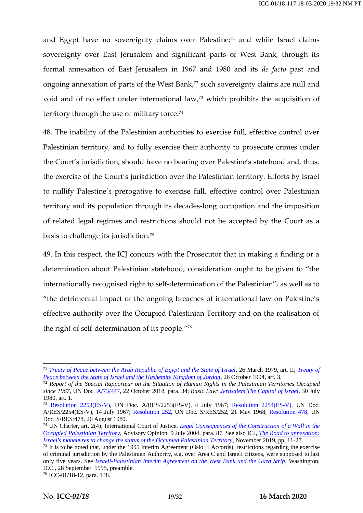and Egypt have no sovereignty claims over Palestine;<sup>71</sup> and while Israel claims sovereignty over East Jerusalem and significant parts of West Bank, through its formal annexation of East Jerusalem in 1967 and 1980 and its *de facto* past and ongoing annexation of parts of the West Bank,<sup>72</sup> such sovereignty claims are null and void and of no effect under international law,<sup>73</sup> which prohibits the acquisition of territory through the use of military force.<sup>74</sup>

48. The inability of the Palestinian authorities to exercise full, effective control over Palestinian territory, and to fully exercise their authority to prosecute crimes under the Court's jurisdiction, should have no bearing over Palestine's statehood and, thus, the exercise of the Court's jurisdiction over the Palestinian territory. Efforts by Israel to nullify Palestine's prerogative to exercise full, effective control over Palestinian territory and its population through its decades-long occupation and the imposition of related legal regimes and restrictions should not be accepted by the Court as a basis to challenge its jurisdiction.<sup>75</sup>

49. In this respect, the ICJ concurs with the Prosecutor that in making a finding or a determination about Palestinian statehood, consideration ought to be given to "the internationally recognised right to self-determination of the Palestinian", as well as to "the detrimental impact of the ongoing breaches of international law on Palestine's effective authority over the Occupied Palestinian Territory and on the realisation of the right of self-determination of its people."<sup>76</sup>

<sup>&</sup>lt;sup>71</sup> *[Treaty of Peace between the Arab Republic of Egypt and the State of Israel](https://peacemaker.un.org/sites/peacemaker.un.org/files/EG%20IL_790326_Egypt%20and%20Israel%20Treaty%20of%20Peace.pdf), 26 March 1979, art. II; <i>Treaty of [Peace between the State of Israel and the Hashemite Kingdom of Jordan](https://peacemaker.un.org/sites/peacemaker.un.org/files/IL%20JO_941026_PeaceTreatyIsraelJordan.pdf)*, 26 October 1994, art. 3.

<sup>72</sup> *Report of the Special Rapporteur on the Situation of Human Rights in the Palestinian Territories Occupied since 1967*, UN Doc. [A/73/447,](https://documents-dds-ny.un.org/doc/UNDOC/GEN/N18/332/91/pdf/N1833291.pdf?OpenElement) 22 October 2018, para. 34; *Basic Law: [Jerusalem The Capital of Israel](https://www.knesset.gov.il/laws/special/eng/basic10_eng.htm)*, 30 July 1980, art. 1.

<sup>&</sup>lt;sup>73</sup> [Resolution 2253\(ES-V\),](http://www.un.org/en/ga/search/view_doc.asp?symbol=A/RES/2253(ES-V)) UN Doc. A/RES/2253(ES-V), 4 July 1967; [Resolution 2254\(ES-V\),](http://www.un.org/en/ga/search/view_doc.asp?symbol=A/RES/2254(ES-V)) UN Doc. A/RES/2254(ES-V), 14 July 1967; [Resolution 252,](https://digitallibrary.un.org/record/90754?ln=en) UN Doc. S/RES/252, 21 May 1968; [Resolution 478,](https://digitallibrary.un.org/record/25618/files/S_RES_478%281980%29-EN.pdf) UN Doc. S/RES/478, 20 August 1980.

<sup>74</sup> UN Charter, art. 2(4); International Court of Justice, *[Legal Consequences of the Construction of a Wall in the](https://www.icj-cij.org/files/case-related/131/131-20040709-ADV-01-00-EN.pdf)  [Occupied Palestinian Territory](https://www.icj-cij.org/files/case-related/131/131-20040709-ADV-01-00-EN.pdf)*, Advisory Opinion, 9 July 2004, para. 87. See also ICJ, *[The Road to annexation:](https://www.icj.org/wp-content/uploads/2019/11/Israel-Road-to-Annexion-Advocacy-Analysis-brief-2019-ENG.pdf)  [Israel's maneuvres to change the status of the Occupied Palestinian Territory](https://www.icj.org/wp-content/uploads/2019/11/Israel-Road-to-Annexion-Advocacy-Analysis-brief-2019-ENG.pdf)*, November 2019, pp. 11-27.

 $75$  It is to be noted that, under the 1995 Interim Agreement (Oslo II Accords), restrictions regarding the exercise of criminal jurisdiction by the Palestinian Authority, e.g. over Area C and Israeli citizens, were supposed to last only five years. See *[Israeli-Palestinian Interim Agreement on the West Bank and the Gaza Strip](https://www.refworld.org/docid/3de5ebbc0.html)*, Washington, D.C., 28 September 1995, preamble.

<sup>76</sup> ICC-01/18-12, para. 138.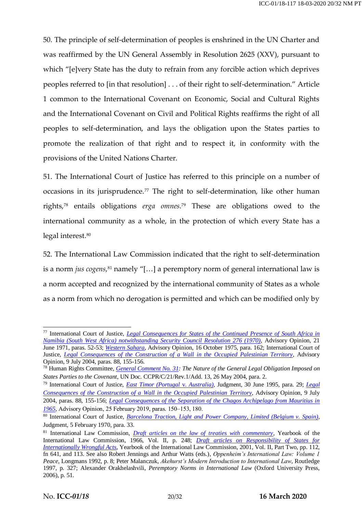50. The principle of self-determination of peoples is enshrined in the UN Charter and was reaffirmed by the UN General Assembly in Resolution 2625 (XXV), pursuant to which "[e]very State has the duty to refrain from any forcible action which deprives peoples referred to [in that resolution] . . . of their right to self-determination." Article 1 common to the International Covenant on Economic, Social and Cultural Rights and the International Covenant on Civil and Political Rights reaffirms the right of all peoples to self-determination, and lays the obligation upon the States parties to promote the realization of that right and to respect it, in conformity with the provisions of the United Nations Charter.

51. The International Court of Justice has referred to this principle on a number of occasions in its jurisprudence.<sup>77</sup> The right to self-determination, like other human rights,<sup>78</sup> entails obligations *erga omnes*. <sup>79</sup> These are obligations owed to the international community as a whole, in the protection of which every State has a legal interest.<sup>80</sup>

52. The International Law Commission indicated that the right to self-determination is a norm *jus cogens,*<sup>81</sup> namely "[...] a peremptory norm of general international law is a norm accepted and recognized by the international community of States as a whole as a norm from which no derogation is permitted and which can be modified only by

<sup>77</sup> International Court of Justice, *[Legal Consequences for States of the Continued Presence of South Africa in](https://www.icj-cij.org/files/case-related/53/053-19710621-ADV-01-00-EN.pdf)  [Namibia \(South West Africa\) notwithstanding Security Council Resolution 276 \(1970\)](https://www.icj-cij.org/files/case-related/53/053-19710621-ADV-01-00-EN.pdf)*, Advisory Opinion, 21 June 1971, paras. 52-53; *[Western Sahara](https://www.icj-cij.org/files/case-related/61/061-19751016-ADV-01-00-EN.pdf)*, Advisory Opinion, 16 October 1975, para. 162; International Court of Justice, *[Legal Consequences of the Construction of a Wall in the Occupied Palestinian Territory](https://www.icj-cij.org/files/case-related/131/131-20040709-ADV-01-00-EN.pdf)*, Advisory Opinion, 9 July 2004, paras. 88, 155-156.

<sup>78</sup> Human Rights Committee, *[General Comment No. 31:](https://www.refworld.org/docid/478b26ae2.html) The Nature of the General Legal Obligation Imposed on States Parties to the Covenant*, UN Doc. CCPR/C/21/Rev.1/Add. 13, 26 May 2004, para. 2.

<sup>79</sup> International Court of Justice, *[East Timor \(Portugal](https://www.icj-cij.org/files/case-related/84/084-19950630-JUD-01-00-EN.pdf)* v. *Australia)*, Judgment, 30 June 1995, para. 29; *[Legal](https://www.icj-cij.org/files/case-related/131/131-20040709-ADV-01-00-EN.pdf)  [Consequences of the Construction of a Wall in the Occupied Palestinian Territory](https://www.icj-cij.org/files/case-related/131/131-20040709-ADV-01-00-EN.pdf)*, Advisory Opinion, 9 July 2004, paras. 88, 155-156; *[Legal Consequences of the Separation of the Chagos Archipelago from Mauritius in](https://www.icj-cij.org/files/case-related/169/169-20190225-01-00-EN.pdf)*  [1965](https://www.icj-cij.org/files/case-related/169/169-20190225-01-00-EN.pdf), Advisory Opinion, 25 February 2019, paras. 150-153, 180.

<sup>80</sup> International Court of Justice, *[Barcelona Traction, Light and Power Company, Limited \(Belgium v. Spain\)](https://www.icj-cij.org/files/case-related/50/050-19700205-JUD-01-00-EN.pdf)*, Judgment, 5 February 1970, para. 33.

<sup>81</sup> International Law Commission, *[Draft articles on the law of treaties with commentary](https://legal.un.org/ilc/publications/yearbooks/english/ilc_1966_v2.pdf)*, Yearbook of the International Law Commission, 1966, Vol. II, p. 248; *[Draft articles on Responsibility of States for](https://legal.un.org/ilc/texts/instruments/english/commentaries/9_6_2001.pdf)  [Internationally Wrongful Acts](https://legal.un.org/ilc/texts/instruments/english/commentaries/9_6_2001.pdf)*, Yearbook of the International Law Commission, 2001, Vol. II, Part Two, pp. 112, fn 641, and 113. See also Robert Jennings and Arthur Watts (eds.), *Oppenheim's International Law: Volume 1 Peace*, Longmans 1992, p. 8; Peter Malanczuk, *Akehurst's Modern Introduction to International Law*, Routledge 1997, p. 327; Alexander Orakhelashvili, *Peremptory Norms in International Law* (Oxford University Press, 2006), p. 51.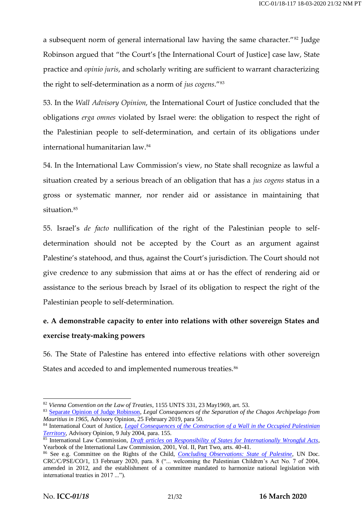a subsequent norm of general international law having the same character."<sup>82</sup> Judge Robinson argued that "the Court's [the International Court of Justice] case law, State practice and *opinio juris*, and scholarly writing are sufficient to warrant characterizing the right to self-determination as a norm of *jus cogens*."<sup>83</sup>

53. In the *Wall Advisory Opinion*, the International Court of Justice concluded that the obligations *erga omnes* violated by Israel were: the obligation to respect the right of the Palestinian people to self-determination, and certain of its obligations under international humanitarian law. 84

54. In the International Law Commission's view, no State shall recognize as lawful a situation created by a serious breach of an obligation that has a *jus cogens* status in a gross or systematic manner, nor render aid or assistance in maintaining that situation.<sup>85</sup>

55. Israel's *de facto* nullification of the right of the Palestinian people to selfdetermination should not be accepted by the Court as an argument against Palestine's statehood, and thus, against the Court's jurisdiction. The Court should not give credence to any submission that aims at or has the effect of rendering aid or assistance to the serious breach by Israel of its obligation to respect the right of the Palestinian people to self-determination.

# **e. A demonstrable capacity to enter into relations with other sovereign States and exercise treaty-making powers**

56. The State of Palestine has entered into effective relations with other sovereign States and acceded to and implemented numerous treaties.<sup>86</sup>

<sup>82</sup> *Vienna Convention on the Law of Treaties*, 1155 UNTS 331, 23 May1969, art. 53.

<sup>83</sup> [Separate Opinion of Judge Robinson,](https://www.icj-cij.org/files/case-related/169/169-20190225-ADV-01-09-EN.pdf) *Legal Consequences of the Separation of the Chagos Archipelago from Mauritius in 1965*, Advisory Opinion, 25 February 2019, para 50.

<sup>84</sup> International Court of Justice, *[Legal Consequences of the Construction of a Wall in the Occupied Palestinian](https://www.icj-cij.org/files/case-related/131/131-20040709-ADV-01-00-EN.pdf)  [Territory](https://www.icj-cij.org/files/case-related/131/131-20040709-ADV-01-00-EN.pdf)*, Advisory Opinion, 9 July 2004, para. 155.

<sup>85</sup> International Law Commission, *[Draft articles on Responsibility of States for Internationally Wrongful Acts](https://legal.un.org/ilc/texts/instruments/english/commentaries/9_6_2001.pdf)*, Yearbook of the International Law Commission, 2001, Vol. II, Part Two, arts. 40-41.

<sup>86</sup> See e.g. Committee on the Rights of the Child, *[Concluding Observations: State of Palestine](https://tbinternet.ohchr.org/_layouts/15/treatybodyexternal/Download.aspx?symbolno=CRC%2fC%2fPSE%2fCO%2f1&Lang=en)*, UN Doc. CRC/C/PSE/CO/1, 13 February 2020, para. 8 ("... welcoming the Palestinian Children's Act No. 7 of 2004, amended in 2012, and the establishment of a committee mandated to harmonize national legislation with international treaties in 2017 ...").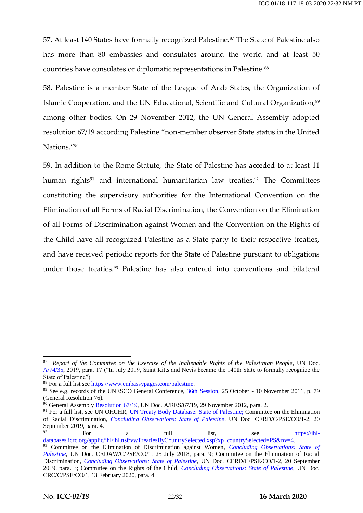57. At least 140 States have formally recognized Palestine.<sup>87</sup> The State of Palestine also has more than 80 embassies and consulates around the world and at least 50 countries have consulates or diplomatic representations in Palestine.<sup>88</sup>

58. Palestine is a member State of the League of Arab States, the Organization of Islamic Cooperation, and the UN Educational, Scientific and Cultural Organization,<sup>89</sup> among other bodies. On 29 November 2012, the UN General Assembly adopted resolution 67/19 according Palestine "non-member observer State status in the United Nations."<sup>90</sup>

59. In addition to the Rome Statute, the State of Palestine has acceded to at least 11 human rights<sup>91</sup> and international humanitarian law treaties.<sup>92</sup> The Committees constituting the supervisory authorities for the International Convention on the Elimination of all Forms of Racial Discrimination, the Convention on the Elimination of all Forms of Discrimination against Women and the Convention on the Rights of the Child have all recognized Palestine as a State party to their respective treaties, and have received periodic reports for the State of Palestine pursuant to obligations under those treaties.<sup>93</sup> Palestine has also entered into conventions and bilateral

<sup>87</sup> *Report of the Committee on the Exercise of the Inalienable Rights of the Palestinian People*, UN Doc. [A/74/35,](https://undocs.org/en/A/74/35) 2019, para. 17 ("In July 2019, Saint Kitts and Nevis became the 140th State to formally recognize the State of Palestine").

<sup>88</sup> For a full list se[e https://www.embassypages.com/palestine.](https://www.embassypages.com/palestine)

<sup>89</sup> See e.g. records of the UNESCO General Conference, [36th Session,](https://unesdoc.unesco.org/ark:/48223/pf0000215084.xml=http:/www.unesco.org/ulis/cgi-bin/ulis.pl) 25 October - 10 November 2011, p. 79 (General Resolution 76).

 $90$  General Assembl[y Resolution 67/19,](https://documents-dds-ny.un.org/doc/UNDOC/GEN/N12/479/74/pdf/N1247974.pdf?OpenElement) UN Doc. A/RES/67/19, 29 November 2012, para. 2.

<sup>&</sup>lt;sup>91</sup> For a full list, see UN OHCHR, [UN Treaty Body Database: State of Palestine;](https://tbinternet.ohchr.org/_layouts/15/TreatyBodyExternal/Treaty.aspx?CountryID=217&Lang=en) Committee on the Elimination of Racial Discrimination, *[Concluding Observations: State of Palestine](https://documents-dds-ny.un.org/doc/UNDOC/GEN/G19/278/53/pdf/G1927853.pdf?OpenElement)*, UN Doc. CERD/C/PSE/CO/1-2, 20 September 2019, para. 4.

<sup>92</sup> For a full list, see [https://ihl](https://ihl-databases.icrc.org/applic/ihl/ihl.nsf/vwTreatiesByCountrySelected.xsp?xp_countrySelected=PS&nv=4)[databases.icrc.org/applic/ihl/ihl.nsf/vwTreatiesByCountrySelected.xsp?xp\\_countrySelected=PS&nv=4.](https://ihl-databases.icrc.org/applic/ihl/ihl.nsf/vwTreatiesByCountrySelected.xsp?xp_countrySelected=PS&nv=4) <sup>93</sup> Committee on the Elimination of Discrimination against Women, *Concluding Observations: State of [Palestine](https://www.un.org/unispal/document/women-convention-concluding-observations-on-the-initial-report-of-the-state-of-palestine-to-cedaw/)*, UN Doc. CEDAW/C/PSE/CO/1, 25 July 2018, para. 9; Committee on the Elimination of Racial Discrimination, *[Concluding Observations: State of Palestine](https://www.ecoi.net/en/file/local/2015533/G1927853.pdf)*, UN Doc. CERD/C/PSE/CO/1-2, 20 September 2019, para. 3; Committee on the Rights of the Child, *[Concluding Observations: State of Palestine](https://tbinternet.ohchr.org/_layouts/15/treatybodyexternal/Download.aspx?symbolno=CRC%2fC%2fPSE%2fCO%2f1&Lang=en)*, UN Doc. CRC/C/PSE/CO/1, 13 February 2020, para. 4.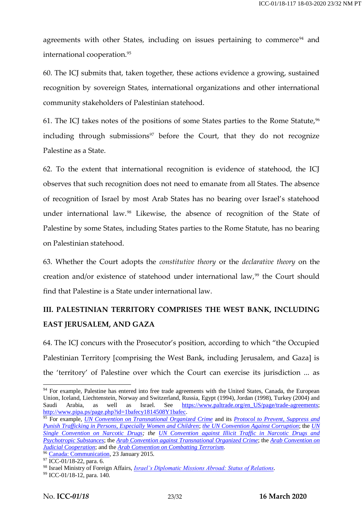agreements with other States, including on issues pertaining to commerce<sup>94</sup> and international cooperation.<sup>95</sup>

60. The ICJ submits that, taken together, these actions evidence a growing, sustained recognition by sovereign States, international organizations and other international community stakeholders of Palestinian statehood.

61. The ICJ takes notes of the positions of some States parties to the Rome Statute,  $96$ including through submissions<sup>97</sup> before the Court, that they do not recognize Palestine as a State.

62. To the extent that international recognition is evidence of statehood, the ICJ observes that such recognition does not need to emanate from all States. The absence of recognition of Israel by most Arab States has no bearing over Israel's statehood under international law.<sup>98</sup> Likewise, the absence of recognition of the State of Palestine by some States, including States parties to the Rome Statute, has no bearing on Palestinian statehood.

63. Whether the Court adopts the *constitutive theory* or the *declarative theory* on the creation and/or existence of statehood under international law,<sup>99</sup> the Court should find that Palestine is a State under international law.

# **III. PALESTINIAN TERRITORY COMPRISES THE WEST BANK, INCLUDING EAST JERUSALEM, AND GAZA**

64. The ICJ concurs with the Prosecutor's position, according to which "the Occupied Palestinian Territory [comprising the West Bank, including Jerusalem, and Gaza] is the 'territory' of Palestine over which the Court can exercise its jurisdiction ... as

<sup>&</sup>lt;sup>94</sup> For example, Palestine has entered into free trade agreements with the United States, Canada, the European Union, Iceland, Liechtenstein, Norway and Switzerland, Russia, Egypt (1994), Jordan (1998), Turkey (2004) and Saudi Arabia, as well as Israel. See [https://www.paltrade.org/en\\_US/page/trade-agreements;](https://www.paltrade.org/en_US/page/trade-agreements) [http://www.pipa.ps/page.php?id=1bafecy1814508Y1bafec.](http://www.pipa.ps/page.php?id=1bafecy1814508Y1bafec)

<sup>95</sup> For example, *[UN Convention on Transnational Organized Crime](https://treaties.un.org/doc/Treaties/2000/11/20001115%2011-11%20AM/Ch_XVIII_12p.pdf)* and its *[Protocol to Prevent, Suppress and](https://treaties.un.org/doc/Treaties/2000/11/20001115%2011-38%20AM/Ch_XVIII_12_ap.pdf)  [Punish Trafficking in Persons, Especially Women and Children](https://treaties.un.org/doc/Treaties/2000/11/20001115%2011-38%20AM/Ch_XVIII_12_ap.pdf)*; *[the UN Convention Against Corruption](https://www.unodc.org/documents/brussels/UN_Convention_Against_Corruption.pdf)*; the *[UN](https://treaties.un.org/doc/Treaties/1975/08/19750808%2006-05%20PM/Ch_VI_18p.pdf)  [Single Convention on Narcotic Drugs;](https://treaties.un.org/doc/Treaties/1975/08/19750808%2006-05%20PM/Ch_VI_18p.pdf) the [UN Convention against Illicit Traffic in Narcotic Drugs and](https://treaties.un.org/doc/Treaties/1975/08/19750808%2006-05%20PM/Ch_VI_18p.pdf)  [Psychotropic Substances](https://treaties.un.org/doc/Treaties/1975/08/19750808%2006-05%20PM/Ch_VI_18p.pdf)*; the *[Arab Convention against Transnational Organized Crime](https://www.courts.gov.ps/userfiles/file/%D8%A7%D9%84%D8%A7%D8%AA%D9%81%D8%A7%D9%82%D9%8A%D8%A9%20%D8%A7%D9%84%D8%B9%D8%B1%D8%A8%D9%8A%D8%A9%20%D9%84%D9%85%D9%83%D8%A7%D9%81%D8%AD%D8%A9%20%D8%A7%D9%84%D8%AC%D8%B1%D9%8A%D9%85%D8%A9%20%D8%A7%D9%84%D9%85%D9%86%D8%B8%D9%85%D8%A9%20%D8%B9%D8%A8%D8%B1%20%D8%A7%D9%84%D8%AD%D8%AF%D9%88%D8%AF%20%D8%A7%D9%84%D9%88%D8%B7%D9%86%D9%8A%D8%A9.pdf)*; the *[Arab Convention on](https://www.courts.gov.ps/userfiles/file/%D8%A7%D8%AA%D9%81%D8%A7%D9%82%D9%8A%D8%A9%20%D8%A7%D9%84%D8%B1%D9%8A%D8%A7%D8%B6.pdf)  [Judicial Cooperation](https://www.courts.gov.ps/userfiles/file/%D8%A7%D8%AA%D9%81%D8%A7%D9%82%D9%8A%D8%A9%20%D8%A7%D9%84%D8%B1%D9%8A%D8%A7%D8%B6.pdf)*; and the *[Arab Convention on Combatting Terrorism](https://www.courts.gov.ps/userfiles/file/%D8%A7%D9%84%D8%A7%D8%AA%D9%81%D8%A7%D9%82%D9%8A%D8%A9%20%D8%A7%D9%84%D8%B9%D8%B1%D8%A8%D9%8A%D8%A9%20%D9%84%D9%85%D9%83%D8%A7%D9%81%D8%AD%D8%A9%20%D8%A7%D9%84%D8%A7%D8%B1%D9%87%D8%A7%D8%A8.pdf)*.

<sup>&</sup>lt;sup>96</sup> [Canada: Communication,](https://treaties.un.org/doc/Publication/CN/2015/CN.57.2015-Eng.pdf) 23 January 2015.

 $97$  ICC-01/18-22, para. 6.

<sup>98</sup> Israel Ministry of Foreign Affairs, *[Israel's Diplomatic Missions Abroad: Status of Relations](https://mfa.gov.il/MFA/AboutTheMinistry/Pages/Israel-s%20Diplomatic%20Missions%20Abroad.aspx)*.

<sup>99</sup> ICC-01/18-12, para. 140.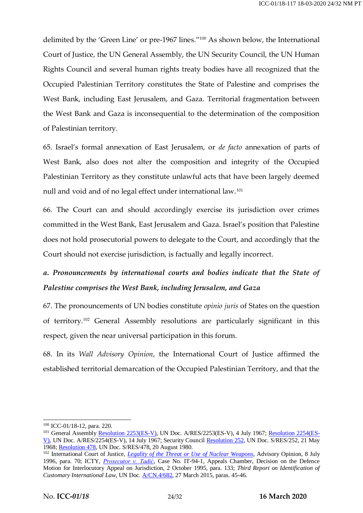delimited by the 'Green Line' or pre-1967 lines."<sup>100</sup> As shown below, the International Court of Justice, the UN General Assembly, the UN Security Council, the UN Human Rights Council and several human rights treaty bodies have all recognized that the Occupied Palestinian Territory constitutes the State of Palestine and comprises the West Bank, including East Jerusalem, and Gaza. Territorial fragmentation between the West Bank and Gaza is inconsequential to the determination of the composition of Palestinian territory.

65. Israel's formal annexation of East Jerusalem, or *de facto* annexation of parts of West Bank, also does not alter the composition and integrity of the Occupied Palestinian Territory as they constitute unlawful acts that have been largely deemed null and void and of no legal effect under international law.<sup>101</sup>

66. The Court can and should accordingly exercise its jurisdiction over crimes committed in the West Bank, East Jerusalem and Gaza. Israel's position that Palestine does not hold prosecutorial powers to delegate to the Court, and accordingly that the Court should not exercise jurisdiction, is factually and legally incorrect.

# *a. Pronouncements by international courts and bodies indicate that the State of Palestine comprises the West Bank, including Jerusalem, and Gaza*

67. The pronouncements of UN bodies constitute *opinio juris* of States on the question of territory.<sup>102</sup> General Assembly resolutions are particularly significant in this respect, given the near universal participation in this forum.

68. In its *Wall Advisory Opinion*, the International Court of Justice affirmed the established territorial demarcation of the Occupied Palestinian Territory, and that the

<sup>-</sup><sup>100</sup> ICC-01/18-12, para. 220.

<sup>&</sup>lt;sup>101</sup> General Assembly [Resolution 2253\(ES-V\),](http://www.un.org/en/ga/search/view_doc.asp?symbol=A/RES/2253(ES-V)) UN Doc. A/RES/2253(ES-V), 4 July 1967; [Resolution 2254\(ES-](http://www.un.org/en/ga/search/view_doc.asp?symbol=A/RES/2254(ES-V))[V\),](http://www.un.org/en/ga/search/view_doc.asp?symbol=A/RES/2254(ES-V)) UN Doc. A/RES/2254(ES-V), 14 July 1967; Security Council [Resolution 252,](https://digitallibrary.un.org/record/90754?ln=en) UN Doc. S/RES/252, 21 May 1968; [Resolution 478,](https://digitallibrary.un.org/record/25618/files/S_RES_478%281980%29-EN.pdf) UN Doc. S/RES/478, 20 August 1980.

<sup>&</sup>lt;sup>102</sup> International Court of Justice, *[Legality of the Threat or Use of Nuclear Weapons](https://www.icj-cij.org/files/case-related/95/095-19960708-ADV-01-00-EN.pdf)*, Advisory Opinion, 8 July 1996, para. 70; ICTY, *[Prosecutor v. Tadić](https://www.icty.org/x/cases/tadic/acdec/en/51002.htm)*, Case No. IT-94-1, Appeals Chamber, Decision on the Defence Motion for Interlocutory Appeal on Jurisdiction, 2 October 1995, para. 133; *Third Report on Identification of Customary International Law*, UN Doc. [A/CN.4/682,](https://legal.un.org/docs/?symbol=A/CN.4/682) 27 March 2015, paras. 45-46.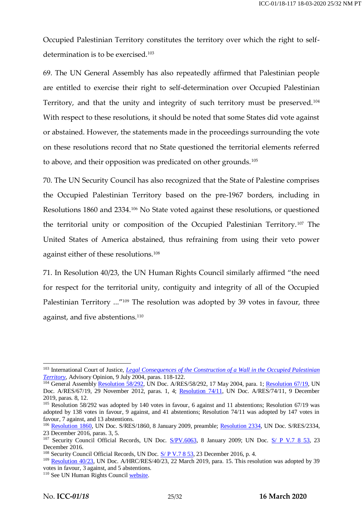Occupied Palestinian Territory constitutes the territory over which the right to selfdetermination is to be exercised.<sup>103</sup>

69. The UN General Assembly has also repeatedly affirmed that Palestinian people are entitled to exercise their right to self-determination over Occupied Palestinian Territory, and that the unity and integrity of such territory must be preserved.<sup>104</sup> With respect to these resolutions, it should be noted that some States did vote against or abstained. However, the statements made in the proceedings surrounding the vote on these resolutions record that no State questioned the territorial elements referred to above, and their opposition was predicated on other grounds.<sup>105</sup>

70. The UN Security Council has also recognized that the State of Palestine comprises the Occupied Palestinian Territory based on the pre-1967 borders, including in Resolutions 1860 and 2334.<sup>106</sup> No State voted against these resolutions, or questioned the territorial unity or composition of the Occupied Palestinian Territory. <sup>107</sup> The United States of America abstained, thus refraining from using their veto power against either of these resolutions.<sup>108</sup>

71. In Resolution 40/23, the UN Human Rights Council similarly affirmed "the need for respect for the territorial unity, contiguity and integrity of all of the Occupied Palestinian Territory ..."<sup>109</sup> The resolution was adopted by 39 votes in favour, three against, and five abstentions.<sup>110</sup>

<sup>&</sup>lt;sup>103</sup> International Court of Justice, *Legal Consequences of the Construction of a Wall in the Occupied Palestinian [Territory](https://www.icj-cij.org/files/case-related/131/131-20040709-ADV-01-00-EN.pdf)*, Advisory Opinion, 9 July 2004, paras. 118-122.

<sup>&</sup>lt;sup>104</sup> General Assembl[y Resolution 58/292,](https://unispal.un.org/DPA/DPR/unispal.nsf/0/A2C2938216B39DE485256EA70070C849) UN Doc. A/RES/58/292, 17 May 2004, para. 1; [Resolution 67/19,](https://documents-dds-ny.un.org/doc/UNDOC/GEN/N12/479/74/pdf/N1247974.pdf?OpenElement) UN Doc. A/RES/67/19, 29 November 2012, paras. 1, 4; [Resolution 74/11,](https://documents-dds-ny.un.org/doc/UNDOC/GEN/N19/392/81/pdf/N1939281.pdf?OpenElement) UN Doc. A/RES/74/11, 9 December 2019, paras. 8, 12.

<sup>&</sup>lt;sup>105</sup> Resolution 58/292 was adopted by 140 votes in favour, 6 against and 11 abstentions; Resolution 67/19 was adopted by 138 votes in favour, 9 against, and 41 abstentions; Resolution 74/11 was adopted by 147 votes in favour, 7 against, and 13 abstentions.

<sup>&</sup>lt;sup>106</sup> [Resolution 1860,](https://documents-dds-ny.un.org/doc/UNDOC/GEN/N09/204/32/pdf/N0920432.pdf?OpenElement) UN Doc. S/RES/1860, 8 January 2009, preamble; [Resolution 2334,](https://documents-dds-ny.un.org/doc/UNDOC/GEN/N16/463/89/pdf/N1646389.pdf?OpenElement) UN Doc. S/RES/2334, 23 December 2016, paras. 3, 5.

<sup>&</sup>lt;sup>107</sup> Security Council Official Records, UN Doc.  $S/PV.6063$ , 8 January 2009; UN Doc.  $S/PV.7$  8 53, 23 December 2016.

<sup>&</sup>lt;sup>108</sup> Security Council Official Records, UN Doc. [S/ P V.7 8 53,](https://undocs.org/en/S/PV.7853) 23 December 2016, p. 4.

<sup>&</sup>lt;sup>109</sup> [Resolution 40/23,](https://documents-dds-ny.un.org/doc/UNDOC/GEN/G19/108/61/pdf/G1910861.pdf?OpenElement) UN Doc. A/HRC/RES/40/23, 22 March 2019, para. 15. This resolution was adopted by 39 votes in favour, 3 against, and 5 abstentions.

<sup>&</sup>lt;sup>110</sup> See UN Human Rights Council [website.](https://www.ohchr.org/EN/HRBodies/HRC/RegularSessions/Session40/Pages/ResDecStat.aspx)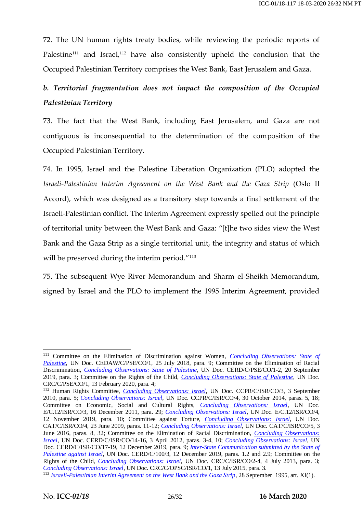72. The UN human rights treaty bodies, while reviewing the periodic reports of Palestine<sup>111</sup> and Israel,<sup>112</sup> have also consistently upheld the conclusion that the Occupied Palestinian Territory comprises the West Bank, East Jerusalem and Gaza.

## *b. Territorial fragmentation does not impact the composition of the Occupied Palestinian Territory*

73. The fact that the West Bank, including East Jerusalem, and Gaza are not contiguous is inconsequential to the determination of the composition of the Occupied Palestinian Territory.

74. In 1995, Israel and the Palestine Liberation Organization (PLO) adopted the *Israeli-Palestinian Interim Agreement on the West Bank and the Gaza Strip* (Oslo II Accord), which was designed as a transitory step towards a final settlement of the Israeli-Palestinian conflict. The Interim Agreement expressly spelled out the principle of territorial unity between the West Bank and Gaza: "[t]he two sides view the West Bank and the Gaza Strip as a single territorial unit, the integrity and status of which will be preserved during the interim period."<sup>113</sup>

75. The subsequent Wye River Memorandum and Sharm el-Sheikh Memorandum, signed by Israel and the PLO to implement the 1995 Interim Agreement, provided

<sup>111</sup> Committee on the Elimination of Discrimination against Women, *[Concluding Observations: State of](https://www.un.org/unispal/document/women-convention-concluding-observations-on-the-initial-report-of-the-state-of-palestine-to-cedaw/)*  [Palestine](https://www.un.org/unispal/document/women-convention-concluding-observations-on-the-initial-report-of-the-state-of-palestine-to-cedaw/), UN Doc. CEDAW/C/PSE/CO/1, 25 July 2018, para. 9; Committee on the Elimination of Racial Discrimination, *[Concluding Observations: State of Palestine](https://www.ecoi.net/en/file/local/2015533/G1927853.pdf)*, UN Doc. CERD/C/PSE/CO/1-2, 20 September 2019, para. 3; Committee on the Rights of the Child, *[Concluding Observations: State of Palestine](https://tbinternet.ohchr.org/_layouts/15/treatybodyexternal/Download.aspx?symbolno=CRC%2fC%2fPSE%2fCO%2f1&Lang=en)*, UN Doc. CRC/C/PSE/CO/1, 13 February 2020, para. 4;

<sup>112</sup> Human Rights Committee, *[Concluding Observations: Israel](https://documents-dds-ny.un.org/doc/UNDOC/GEN/G10/448/06/pdf/G1044806.pdf?OpenElement)*, UN Doc. CCPR/C/ISR/CO/3, 3 September 2010, para. 5; *[Concluding Observations: Israel](https://documents-dds-ny.un.org/doc/UNDOC/GEN/G14/225/55/pdf/G1422555.pdf?OpenElement)*, UN Doc. CCPR/C/ISR/CO/4, 30 October 2014, paras. 5, 18; Committee on Economic, Social and Cultural Rights, *[Concluding Observations: Israel](https://documents-dds-ny.un.org/doc/UNDOC/GEN/G11/477/95/pdf/G1147795.pdf?OpenElement)*, UN Doc. E/C.12/ISR/CO/3, 16 December 2011, para. 29; *[Concluding Observations: Israel](https://documents-dds-ny.un.org/doc/UNDOC/GEN/G19/322/94/pdf/G1932294.pdf?OpenElement)*, UN Doc. E/C.12/ISR/CO/4, 12 November 2019, para. 10; Committee against Torture, *Concluding [Observations: Israel](https://documents-dds-ny.un.org/doc/UNDOC/GEN/G09/431/65/pdf/G0943165.pdf?OpenElement)*, UN Doc. CAT/C/ISR/CO/4, 23 June 2009, paras. 11-12; *[Concluding Observations: Israel](https://documents-dds-ny.un.org/doc/UNDOC/GEN/G16/111/10/pdf/G1611110.pdf?OpenElement)*, UN Doc. CAT/C/ISR/CO/5, 3 June 2016, paras. 8, 32; Committee on the Elimination of Racial Discrimination, *[Concluding Observations:](https://documents-dds-ny.un.org/doc/UNDOC/GEN/G12/416/35/pdf/G1241635.pdf?OpenElement)  [Israel](https://documents-dds-ny.un.org/doc/UNDOC/GEN/G12/416/35/pdf/G1241635.pdf?OpenElement)*, UN Doc. CERD/C/ISR/CO/14-16, 3 April 2012, paras. 3-4, 10; *[Concluding Observations: Israel](https://documents-dds-ny.un.org/doc/UNDOC/GEN/G20/019/68/pdf/G2001968.pdf?OpenElement)*, UN Doc. CERD/C/ISR/CO/17-19, 12 December 2019, para. 9; *Inter-State Communication submitted by the State of [Palestine against Israel](https://www.ohchr.org/Documents/HRBodies/CERD/CERD-C-100-3.pdf)*, UN Doc. CERD/C/100/3, 12 December 2019, paras. 1.2 and 2.9; Committee on the Rights of the Child, *[Concluding Observations: Israel](https://documents-dds-ny.un.org/doc/UNDOC/GEN/G13/450/25/pdf/G1345025.pdf?OpenElement)*, UN Doc. CRC/C/ISR/CO/2-4, 4 July 2013, para. 3; *[Concluding Observations: Israel](https://documents-dds-ny.un.org/doc/UNDOC/GEN/G15/155/82/pdf/G1515582.pdf?OpenElement)*, UN Doc. CRC/C/OPSC/ISR/CO/1, 13 July 2015, para. 3.

<sup>&</sup>lt;sup>113</sup> *[Israeli-Palestinian Interim Agreement on the West Bank and the Gaza Strip](https://www.refworld.org/docid/3de5ebbc0.html)*, 28 September 1995, art. XI(1).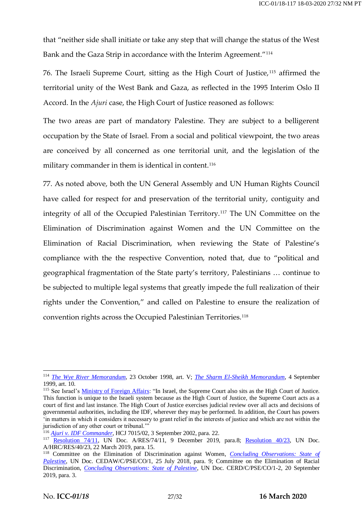that "neither side shall initiate or take any step that will change the status of the West Bank and the Gaza Strip in accordance with the Interim Agreement."<sup>114</sup>

76. The Israeli Supreme Court, sitting as the High Court of Justice,<sup>115</sup> affirmed the territorial unity of the West Bank and Gaza, as reflected in the 1995 Interim Oslo II Accord. In the *Ajuri* case, the High Court of Justice reasoned as follows:

The two areas are part of mandatory Palestine. They are subject to a belligerent occupation by the State of Israel. From a social and political viewpoint, the two areas are conceived by all concerned as one territorial unit, and the legislation of the military commander in them is identical in content.<sup>116</sup>

77. As noted above, both the UN General Assembly and UN Human Rights Council have called for respect for and preservation of the territorial unity, contiguity and integrity of all of the Occupied Palestinian Territory.<sup>117</sup> The UN Committee on the Elimination of Discrimination against Women and the UN Committee on the Elimination of Racial Discrimination, when reviewing the State of Palestine's compliance with the the respective Convention, noted that, due to "political and geographical fragmentation of the State party's territory, Palestinians … continue to be subjected to multiple legal systems that greatly impede the full realization of their rights under the Convention," and called on Palestine to ensure the realization of convention rights across the Occupied Palestinian Territories.<sup>118</sup>

<sup>114</sup> *[The Wye River Memorandum](https://unispal.un.org/DPA/DPR/unispal.nsf/561c6ee353d740fb8525607d00581829/54a3f15175c5e1a485256ae1006ffc30)*, 23 October 1998, art. V; *[The Sharm El-Sheikh Memorandum](https://www.un.org/unispal/document/auto-insert-195919/)*, 4 September 1999, art. 10.

<sup>&</sup>lt;sup>115</sup> See Israel's [Ministry of Foreign Affairs:](https://mfa.gov.il/mfa/aboutisrael/state/democracy/pages/the%20judiciary-%20the%20court%20system.aspx) "In Israel, the Supreme Court also sits as the High Court of Justice. This function is unique to the Israeli system because as the High Court of Justice, the Supreme Court acts as a court of first and last instance. The High Court of Justice exercises judicial review over all acts and decisions of governmental authorities, including the IDF, wherever they may be performed. In addition, the Court has powers 'in matters in which it considers it necessary to grant relief in the interests of justice and which are not within the jurisdiction of any other court or tribunal."

<sup>116</sup> *[Ajuri v. IDF Commander](https://casebook.icrc.org/case-study/israel-ajuri-v-idf-commander)*, HCJ 7015/02, 3 September 2002, para. 22.

<sup>&</sup>lt;sup>117</sup> [Resolution 74/11,](https://undocs.org/en/A/RES/74/11) UN Doc. A/RES/74/11, 9 December 2019, para.8; [Resolution 40/23,](https://documents-dds-ny.un.org/doc/UNDOC/GEN/G19/108/61/pdf/G1910861.pdf?OpenElement) UN Doc. A/HRC/RES/40/23, 22 March 2019, para. 15.

<sup>118</sup> Committee on the Elimination of Discrimination against Women, *[Concluding Observations: State of](https://www.un.org/unispal/document/women-convention-concluding-observations-on-the-initial-report-of-the-state-of-palestine-to-cedaw/)  [Palestine](https://www.un.org/unispal/document/women-convention-concluding-observations-on-the-initial-report-of-the-state-of-palestine-to-cedaw/)*, UN Doc. CEDAW/C/PSE/CO/1, 25 July 2018, para. 9; Committee on the Elimination of Racial Discrimination, *[Concluding Observations: State of Palestine](https://documents-dds-ny.un.org/doc/UNDOC/GEN/G19/278/53/pdf/G1927853.pdf?OpenElement)*, UN Doc. CERD/C/PSE/CO/1-2, 20 September 2019, para. 3.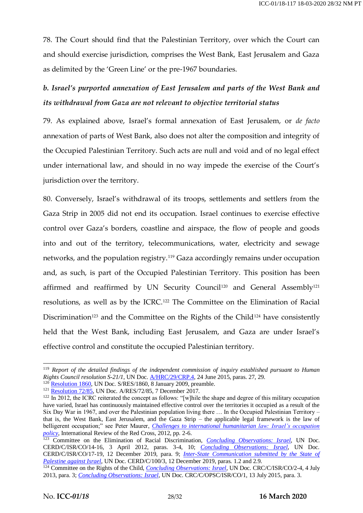78. The Court should find that the Palestinian Territory, over which the Court can and should exercise jurisdiction, comprises the West Bank, East Jerusalem and Gaza as delimited by the 'Green Line' or the pre-1967 boundaries.

# *b. Israel's purported annexation of East Jerusalem and parts of the West Bank and its withdrawal from Gaza are not relevant to objective territorial status*

79. As explained above, Israel's formal annexation of East Jerusalem, or *de facto* annexation of parts of West Bank, also does not alter the composition and integrity of the Occupied Palestinian Territory. Such acts are null and void and of no legal effect under international law, and should in no way impede the exercise of the Court's jurisdiction over the territory.

80. Conversely, Israel's withdrawal of its troops, settlements and settlers from the Gaza Strip in 2005 did not end its occupation. Israel continues to exercise effective control over Gaza's borders, coastline and airspace, the flow of people and goods into and out of the territory, telecommunications, water, electricity and sewage networks, and the population registry.<sup>119</sup> Gaza accordingly remains under occupation and, as such, is part of the Occupied Palestinian Territory. This position has been affirmed and reaffirmed by UN Security Council<sup>120</sup> and General Assembly<sup>121</sup> resolutions, as well as by the ICRC.<sup>122</sup> The Committee on the Elimination of Racial Discrimination<sup>123</sup> and the Committee on the Rights of the Child<sup>124</sup> have consistently held that the West Bank, including East Jerusalem, and Gaza are under Israel's effective control and constitute the occupied Palestinian territory.

<sup>119</sup> *Report of the detailed findings of the independent commission of inquiry established pursuant to Human Rights Council resolution S-21/1*, UN Doc. [A/HRC/29/CRP.4,](https://documents-dds-ny.un.org/doc/UNDOC/GEN/G15/132/95/pdf/G1513295.pdf?OpenElement) 24 June 2015, paras. 27, 29.

[Resolution 1860,](https://documents-dds-ny.un.org/doc/UNDOC/GEN/N09/204/32/pdf/N0920432.pdf?OpenElement) UN Doc. S/RES/1860, 8 January 2009, preamble.

<sup>121</sup> [Resolution 72/85,](https://documents-dds-ny.un.org/doc/UNDOC/GEN/N17/429/59/pdf/N1742959.pdf?OpenElement) UN Doc. A/RES/72/85, 7 December 2017.

 $122$  In 2012, the ICRC reiterated the concept as follows: "[w]hile the shape and degree of this military occupation have varied, Israel has continuously maintained effective control over the territories it occupied as a result of the Six Day War in 1967, and over the Palestinian population living there … In the Occupied Palestinian Territory – that is, the West Bank, East Jerusalem, and the Gaza Strip – the applicable legal framework is the law of belligerent occupation;" see Peter Maurer, *Challenges to international humanitarian law: Israel's occupation [policy](https://international-review.icrc.org/sites/default/files/irrc-888-maurer.pdf)*, International Review of the Red Cross, 2012, pp. 2-6.

<sup>123</sup> Committee on the Elimination of Racial Discrimination, *Concluding [Observations: Israel](https://documents-dds-ny.un.org/doc/UNDOC/GEN/G12/416/35/pdf/G1241635.pdf?OpenElement)*, UN Doc. CERD/C/ISR/CO/14-16, 3 April 2012, paras. 3-4, 10; *[Concluding Observations: Israel](https://documents-dds-ny.un.org/doc/UNDOC/GEN/G20/019/68/pdf/G2001968.pdf?OpenElement)*, UN Doc. CERD/C/ISR/CO/17-19, 12 December 2019, para. 9; *[Inter-State Communication submitted by the State of](https://www.ohchr.org/Documents/HRBodies/CERD/CERD-C-100-3.pdf)  [Palestine against Israel](https://www.ohchr.org/Documents/HRBodies/CERD/CERD-C-100-3.pdf)*, UN Doc. CERD/C/100/3, 12 December 2019, paras. 1.2 and 2.9.

<sup>&</sup>lt;sup>124</sup> Committee on the Rights of the Child, *[Concluding Observations: Israel](https://documents-dds-ny.un.org/doc/UNDOC/GEN/G13/450/25/pdf/G1345025.pdf?OpenElement)*, UN Doc. CRC/C/ISR/CO/2-4, 4 July 2013, para. 3; *[Concluding Observations: Israel](https://documents-dds-ny.un.org/doc/UNDOC/GEN/G15/155/82/pdf/G1515582.pdf?OpenElement)*, UN Doc. CRC/C/OPSC/ISR/CO/1, 13 July 2015, para. 3.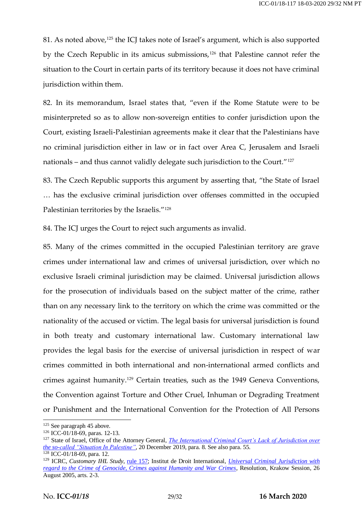81. As noted above,<sup>125</sup> the ICJ takes note of Israel's argument, which is also supported by the Czech Republic in its amicus submissions,<sup>126</sup> that Palestine cannot refer the situation to the Court in certain parts of its territory because it does not have criminal jurisdiction within them.

82. In its memorandum, Israel states that, "even if the Rome Statute were to be misinterpreted so as to allow non-sovereign entities to confer jurisdiction upon the Court, existing Israeli-Palestinian agreements make it clear that the Palestinians have no criminal jurisdiction either in law or in fact over Area C, Jerusalem and Israeli nationals – and thus cannot validly delegate such jurisdiction to the Court."<sup>127</sup>

83. The Czech Republic supports this argument by asserting that, "the State of Israel … has the exclusive criminal jurisdiction over offenses committed in the occupied Palestinian territories by the Israelis."<sup>128</sup>

84. The ICJ urges the Court to reject such arguments as invalid.

85. Many of the crimes committed in the occupied Palestinian territory are grave crimes under international law and crimes of universal jurisdiction, over which no exclusive Israeli criminal jurisdiction may be claimed. Universal jurisdiction allows for the prosecution of individuals based on the subject matter of the crime, rather than on any necessary link to the territory on which the crime was committed or the nationality of the accused or victim. The legal basis for universal jurisdiction is found in both treaty and customary international law. Customary international law provides the legal basis for the exercise of universal jurisdiction in respect of war crimes committed in both international and non-international armed conflicts and crimes against humanity.<sup>129</sup> Certain treaties, such as the 1949 Geneva Conventions, the Convention against Torture and Other Cruel, Inhuman or Degrading Treatment or Punishment and the International Convention for the Protection of All Persons

<sup>&</sup>lt;sup>125</sup> See paragraph 45 above.

<sup>126</sup> ICC-01/18-69, paras. 12-13.

<sup>&</sup>lt;sup>127</sup> State of Israel, Office of the Attorney General, *The International Criminal Court's Lack of Jurisdiction over [the so-called "Situation In Palestine"](https://mfa.gov.il/MFA/PressRoom/2019/Pages/ICCs-lack-of-jurisdiction-over-so-called-situation-in-Palestine-20-Dec-2019.aspx)*, 20 December 2019, para. 8. See also para. 55.

 $128$  ICC-01/18-69, para. 12.

<sup>&</sup>lt;sup>129</sup> ICRC, *Customary IHL Study*, [rule 157;](https://ihl-databases.icrc.org/customary-ihl/eng/docs/v1_rul_rule157) Institut de Droit International, *Universal Criminal Jurisdiction with [regard to the Crime of Genocide, Crimes against Humanity and War Crimes](https://www.idi-iil.org/app/uploads/2017/06/2005_kra_03_en.pdf)*, Resolution, Krakow Session, 26 August 2005, arts. 2-3.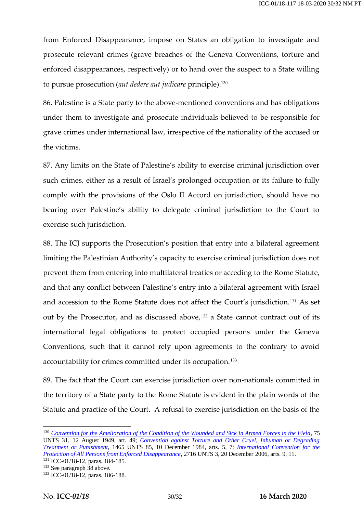from Enforced Disappearance, impose on States an obligation to investigate and prosecute relevant crimes (grave breaches of the Geneva Conventions, torture and enforced disappearances, respectively) or to hand over the suspect to a State willing to pursue prosecution (*aut dedere aut judicare* principle).<sup>130</sup>

86. Palestine is a State party to the above-mentioned conventions and has obligations under them to investigate and prosecute individuals believed to be responsible for grave crimes under international law, irrespective of the nationality of the accused or the victims.

87. Any limits on the State of Palestine's ability to exercise criminal jurisdiction over such crimes, either as a result of Israel's prolonged occupation or its failure to fully comply with the provisions of the Oslo II Accord on jurisdiction, should have no bearing over Palestine's ability to delegate criminal jurisdiction to the Court to exercise such jurisdiction.

88. The ICJ supports the Prosecution's position that entry into a bilateral agreement limiting the Palestinian Authority's capacity to exercise criminal jurisdiction does not prevent them from entering into multilateral treaties or acceding to the Rome Statute, and that any conflict between Palestine's entry into a bilateral agreement with Israel and accession to the Rome Statute does not affect the Court's jurisdiction.<sup>131</sup> As set out by the Prosecutor, and as discussed above,<sup>132</sup> a State cannot contract out of its international legal obligations to protect occupied persons under the Geneva Conventions, such that it cannot rely upon agreements to the contrary to avoid accountability for crimes committed under its occupation.<sup>133</sup>

89. The fact that the Court can exercise jurisdiction over non-nationals committed in the territory of a State party to the Rome Statute is evident in the plain words of the Statute and practice of the Court. A refusal to exercise jurisdiction on the basis of the

<sup>131</sup> ICC-01/18-12, paras. 184-185.

<sup>130</sup> *[Convention for the Amelioration of the Condition of the Wounded and Sick in Armed Forces in the Field](https://ihl-databases.icrc.org/applic/ihl/ihl.nsf/Treaty.xsp?documentId=4825657B0C7E6BF0C12563CD002D6B0B&action=openDocument)*, 75 UNTS 31, 12 August 1949, art. 49; *[Convention against Torture and Other Cruel, Inhuman or Degrading](https://www.ohchr.org/en/professionalinterest/pages/cat.aspx)  [Treatment or Punishment](https://www.ohchr.org/en/professionalinterest/pages/cat.aspx)*, 1465 UNTS 85, 10 December 1984, arts. 5, 7; *[International Convention for the](https://www.ohchr.org/en/hrbodies/ced/pages/conventionced.aspx)  [Protection of All Persons from Enforced Disappearance](https://www.ohchr.org/en/hrbodies/ced/pages/conventionced.aspx)*, 2716 UNTS 3, 20 December 2006, arts. 9, 11.

<sup>132</sup> See paragraph 38 above.

<sup>133</sup> ICC-01/18-12, paras. 186-188.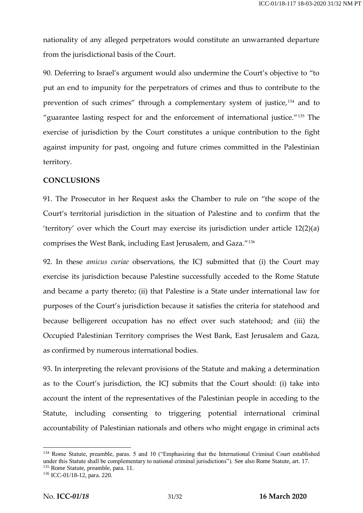nationality of any alleged perpetrators would constitute an unwarranted departure from the jurisdictional basis of the Court.

90. Deferring to Israel's argument would also undermine the Court's objective to "to put an end to impunity for the perpetrators of crimes and thus to contribute to the prevention of such crimes" through a complementary system of justice,<sup>134</sup> and to "guarantee lasting respect for and the enforcement of international justice."<sup>135</sup> The exercise of jurisdiction by the Court constitutes a unique contribution to the fight against impunity for past, ongoing and future crimes committed in the Palestinian territory.

#### **CONCLUSIONS**

91. The Prosecutor in her Request asks the Chamber to rule on "the scope of the Court's territorial jurisdiction in the situation of Palestine and to confirm that the 'territory' over which the Court may exercise its jurisdiction under article 12(2)(a) comprises the West Bank, including East Jerusalem, and Gaza."<sup>136</sup>

92. In these *amicus curiae* observations, the ICJ submitted that (i) the Court may exercise its jurisdiction because Palestine successfully acceded to the Rome Statute and became a party thereto; (ii) that Palestine is a State under international law for purposes of the Court's jurisdiction because it satisfies the criteria for statehood and because belligerent occupation has no effect over such statehood; and (iii) the Occupied Palestinian Territory comprises the West Bank, East Jerusalem and Gaza, as confirmed by numerous international bodies.

93. In interpreting the relevant provisions of the Statute and making a determination as to the Court's jurisdiction, the ICJ submits that the Court should: (i) take into account the intent of the representatives of the Palestinian people in acceding to the Statute, including consenting to triggering potential international criminal accountability of Palestinian nationals and others who might engage in criminal acts

<sup>&</sup>lt;sup>134</sup> Rome Statute, preamble, paras. 5 and 10 ("Emphasizing that the International Criminal Court established under this Statute shall be complementary to national criminal jurisdictions"). See also Rome Statute, art. 17. <sup>135</sup> Rome Statute, preamble, para. 11.

<sup>136</sup> ICC-01/18-12, para. 220.